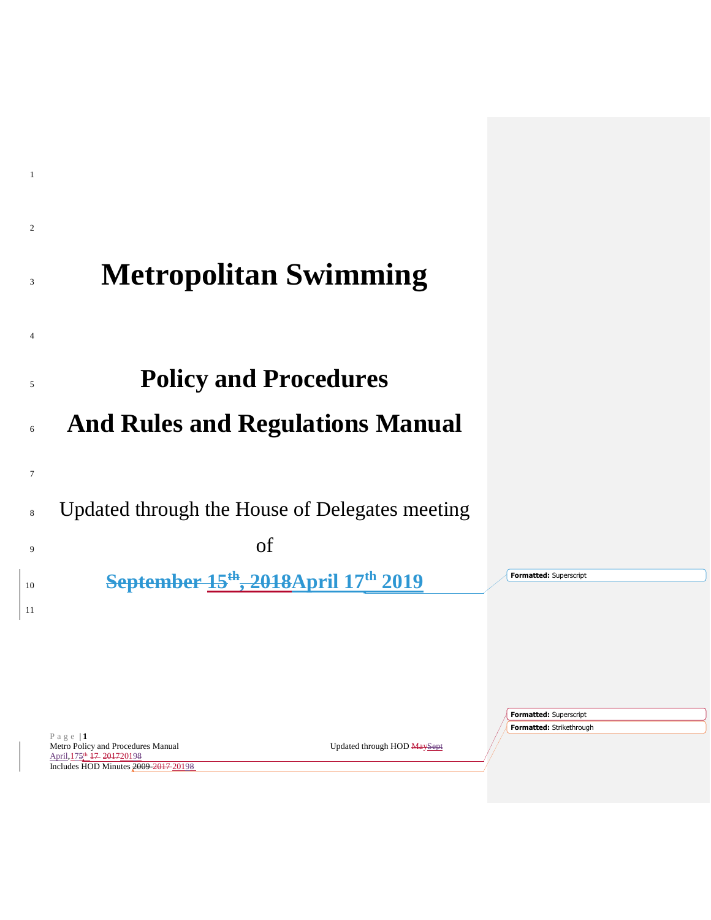# P a g e | **1** Metro Policy and Procedures Manual Updated through HOD MaySept April, 175<sup>th</sup> 17 2017 2019 8 Includes HOD Minutes 2009-2017 20198 **Formatted:** Superscript **Formatted:** Strikethrough 2 <sup>3</sup> **Metropolitan Swimming** 4 <sup>5</sup> **Policy and Procedures**  <sup>6</sup> **And Rules and Regulations Manual** 7 <sup>8</sup> Updated through the House of Delegates meeting  $\overline{\mathbf{P}}$  of **September 15th, 2018April 17th** <sup>10</sup> **2019** 11 **Formatted:** Superscript

1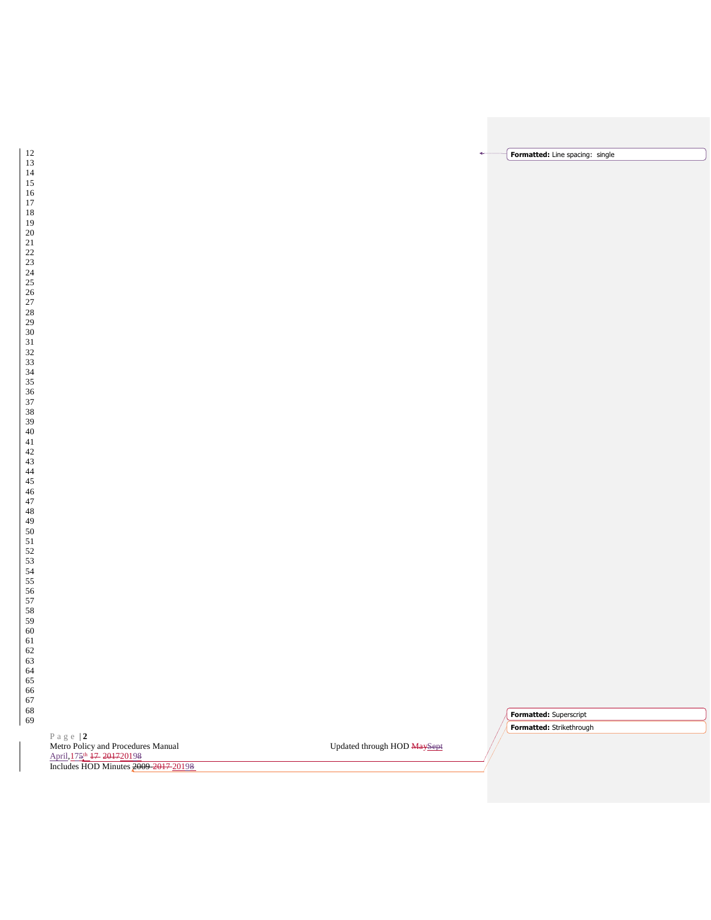P a g e | **2** Metro Policy and Procedures Manual New York Control of the Updated through HOD MaySept April, 175<sup>th</sup> 17 2017 2019 8 Includes HOD Minutes 2009-2017-2019

8 and 20 and 20 and 20 and 20 and 20 and 20 and 20 and 20 and 20 and 20 and 20 and 20 and 20 and 20 and 20 and

**Formatted:** Superscript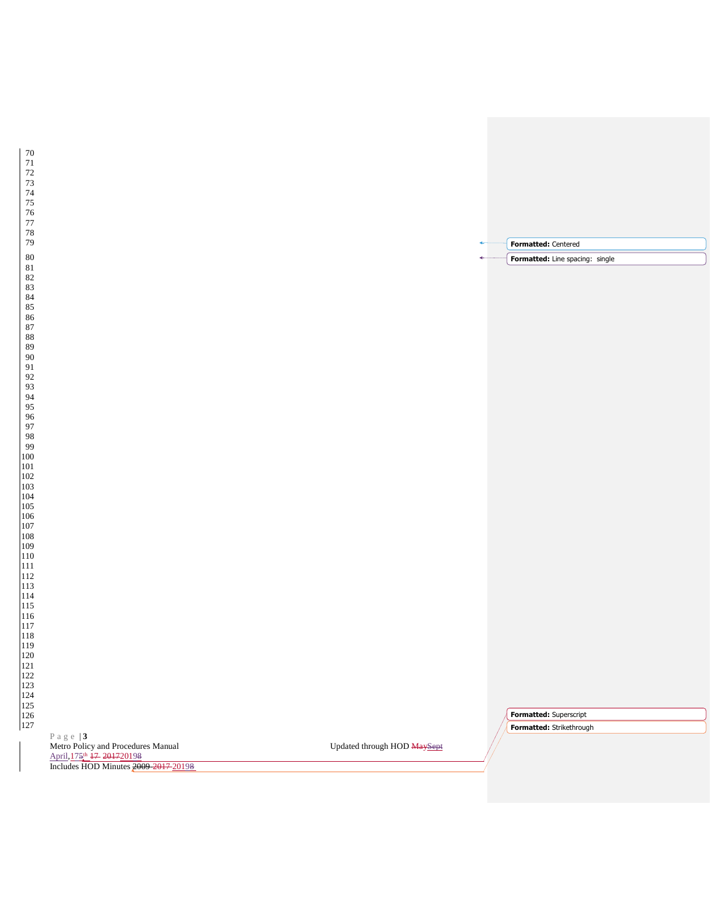

> P a g e | **3** Metro Policy and Procedures Manual New York Control of the Updated through HOD MaySept April, 175<sup>th</sup> 17 2017 2019 8 Includes HOD Minutes 2009-2017-2019

8 and 20 and 20 and 20 and 20 and 20 and 20 and 20 and 20 and 20 and 20 and 20 and 20 and 20 and 20 and 20 and

**Formatted:** Superscript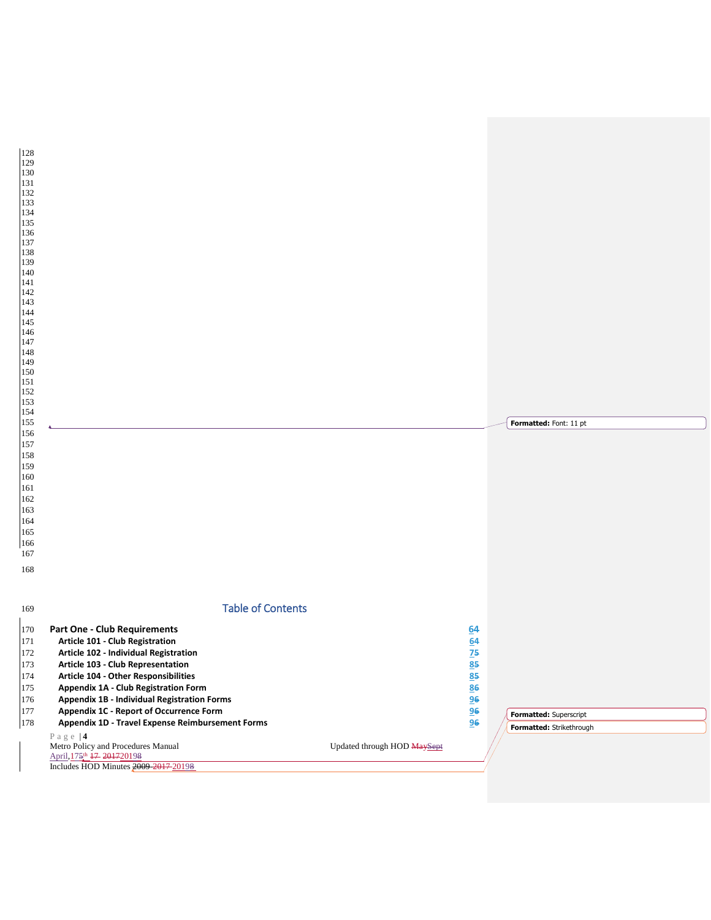| 128<br>129<br>130<br>131<br>132<br>133<br>134<br>135<br>136<br>137<br>138<br>139<br>140<br>141<br>142<br>143<br>144<br>145<br>146<br>147<br>148<br>149<br>150<br>151<br>152<br>153 |                                                                           |                             |                          |
|------------------------------------------------------------------------------------------------------------------------------------------------------------------------------------|---------------------------------------------------------------------------|-----------------------------|--------------------------|
| 154                                                                                                                                                                                |                                                                           |                             |                          |
| 155<br>156                                                                                                                                                                         |                                                                           |                             | Formatted: Font: 11 pt   |
| 157<br>158                                                                                                                                                                         |                                                                           |                             |                          |
| 159                                                                                                                                                                                |                                                                           |                             |                          |
| 160                                                                                                                                                                                |                                                                           |                             |                          |
| 161<br>162                                                                                                                                                                         |                                                                           |                             |                          |
| 163                                                                                                                                                                                |                                                                           |                             |                          |
| 164<br>165                                                                                                                                                                         |                                                                           |                             |                          |
| 166                                                                                                                                                                                |                                                                           |                             |                          |
| 167                                                                                                                                                                                |                                                                           |                             |                          |
| 168                                                                                                                                                                                |                                                                           |                             |                          |
|                                                                                                                                                                                    |                                                                           |                             |                          |
| 169                                                                                                                                                                                | <b>Table of Contents</b>                                                  |                             |                          |
| 170                                                                                                                                                                                | <b>Part One - Club Requirements</b>                                       |                             |                          |
| 171                                                                                                                                                                                | Article 101 - Club Registration                                           | $\frac{64}{64}$             |                          |
| 172                                                                                                                                                                                | Article 102 - Individual Registration                                     | $\overline{25}$             |                          |
| 173<br>174                                                                                                                                                                         | Article 103 - Club Representation<br>Article 104 - Other Responsibilities | 85                          |                          |
| 175                                                                                                                                                                                | <b>Appendix 1A - Club Registration Form</b>                               | 85<br>86                    |                          |
| 176                                                                                                                                                                                | <b>Appendix 1B - Individual Registration Forms</b>                        | 96                          |                          |
| 177                                                                                                                                                                                | Appendix 1C - Report of Occurrence Form                                   | 96                          | Formatted: Superscript   |
| 178                                                                                                                                                                                | Appendix 1D - Travel Expense Reimbursement Forms                          | 96                          | Formatted: Strikethrough |
|                                                                                                                                                                                    | Page $ 4$<br>Metro Policy and Procedures Manual                           | Updated through HOD MaySept |                          |
|                                                                                                                                                                                    | April, 175 <sup>th</sup> 17-201720198                                     |                             |                          |
|                                                                                                                                                                                    | Includes HOD Minutes 2009-2017-20198                                      |                             |                          |
|                                                                                                                                                                                    |                                                                           |                             |                          |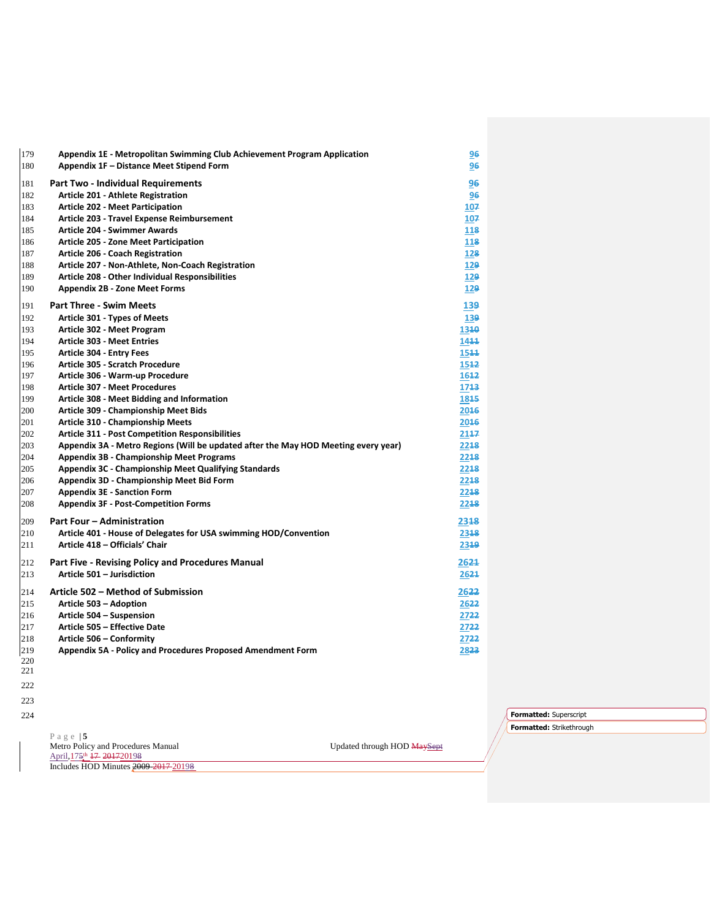| 179 | Appendix 1E - Metropolitan Swimming Club Achievement Program Application           | 96               |
|-----|------------------------------------------------------------------------------------|------------------|
| 180 | Appendix 1F - Distance Meet Stipend Form                                           | 96               |
| 181 | <b>Part Two - Individual Requirements</b>                                          | 96               |
| 182 | Article 201 - Athlete Registration                                                 | 96               |
| 183 | <b>Article 202 - Meet Participation</b>                                            | 107              |
| 184 | Article 203 - Travel Expense Reimbursement                                         | 107              |
| 185 | Article 204 - Swimmer Awards                                                       | 118              |
| 186 | <b>Article 205 - Zone Meet Participation</b>                                       | 118              |
| 187 | <b>Article 206 - Coach Registration</b>                                            | 128              |
| 188 | Article 207 - Non-Athlete, Non-Coach Registration                                  | 129              |
| 189 | Article 208 - Other Individual Responsibilities                                    | <u> 129</u>      |
| 190 | <b>Appendix 2B - Zone Meet Forms</b>                                               | 129              |
| 191 | <b>Part Three - Swim Meets</b>                                                     | 139              |
| 192 | <b>Article 301 - Types of Meets</b>                                                | 139              |
| 193 | Article 302 - Meet Program                                                         | 1310             |
| 194 | <b>Article 303 - Meet Entries</b>                                                  | 1411             |
| 195 | <b>Article 304 - Entry Fees</b>                                                    | 1544             |
| 196 | Article 305 - Scratch Procedure                                                    | 1542             |
| 197 | Article 306 - Warm-up Procedure                                                    | 1612             |
| 198 | <b>Article 307 - Meet Procedures</b>                                               | 1743             |
| 199 | Article 308 - Meet Bidding and Information                                         | 1845             |
| 200 | Article 309 - Championship Meet Bids                                               | 2046             |
| 201 | <b>Article 310 - Championship Meets</b>                                            | 2046             |
| 202 | Article 311 - Post Competition Responsibilities                                    | 2117             |
| 203 | Appendix 3A - Metro Regions (Will be updated after the May HOD Meeting every year) | 2218             |
| 204 | Appendix 3B - Championship Meet Programs                                           | 2248             |
| 205 | Appendix 3C - Championship Meet Qualifying Standards                               | 2218             |
| 206 | Appendix 3D - Championship Meet Bid Form                                           | 2218             |
| 207 | <b>Appendix 3E - Sanction Form</b>                                                 | 22 <del>18</del> |
| 208 | <b>Appendix 3F - Post-Competition Forms</b>                                        | 2218             |
| 209 | <b>Part Four - Administration</b>                                                  | 2318             |
| 210 | Article 401 - House of Delegates for USA swimming HOD/Convention                   | 2318             |
| 211 | Article 418 - Officials' Chair                                                     | 2319             |
| 212 | <b>Part Five - Revising Policy and Procedures Manual</b>                           | 26 <del>21</del> |
| 213 | Article 501 - Jurisdiction                                                         | 2621             |
| 214 | Article 502 – Method of Submission                                                 | 26 <del>22</del> |
| 215 | Article 503 - Adoption                                                             | 2622             |
| 216 | Article 504 - Suspension                                                           | 27 <del>22</del> |
| 217 | Article 505 - Effective Date                                                       | 27 <del>22</del> |
| 218 | Article 506 - Conformity                                                           | 2722             |
| 219 | <b>Appendix 5A - Policy and Procedures Proposed Amendment Form</b>                 | 2823             |
| 220 |                                                                                    |                  |

- 
- 
- 

P a g e | **5** Metro Policy and Procedures Manual New York Control of the Updated through HOD MaySept April, 175<sup>th</sup> 17 2017 2019 8 Includes HOD Minutes <del>2009-2017</del>-20198

**Formatted:** Superscript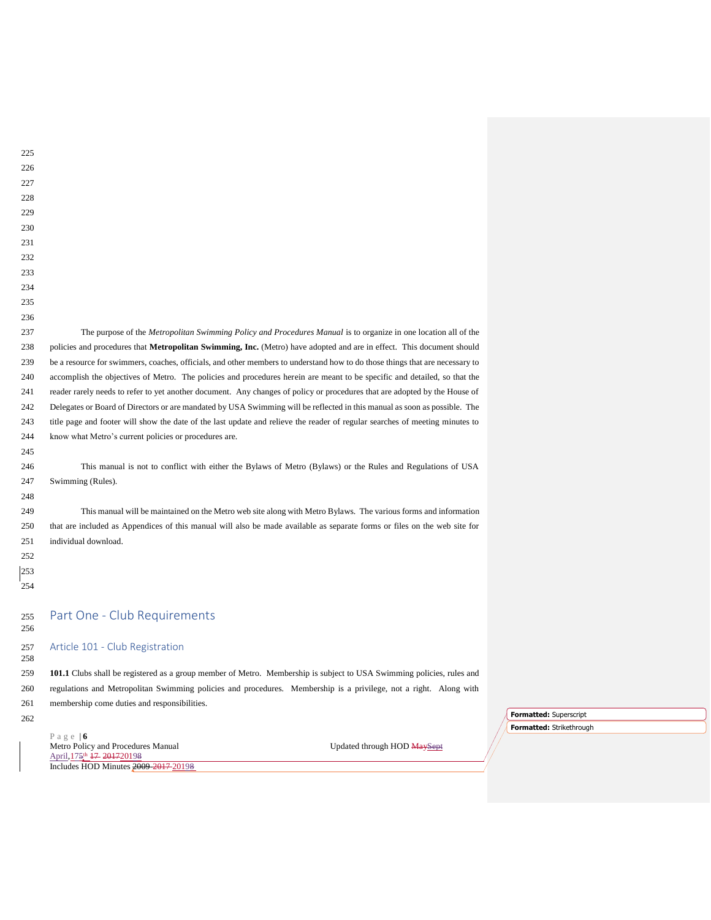| 225        |                                                                                                                              |
|------------|------------------------------------------------------------------------------------------------------------------------------|
| 226        |                                                                                                                              |
| 227        |                                                                                                                              |
| 228        |                                                                                                                              |
| 229        |                                                                                                                              |
| 230        |                                                                                                                              |
| 231        |                                                                                                                              |
| 232        |                                                                                                                              |
| 233        |                                                                                                                              |
| 234        |                                                                                                                              |
| 235        |                                                                                                                              |
| 236        |                                                                                                                              |
| 237        | The purpose of the Metropolitan Swimming Policy and Procedures Manual is to organize in one location all of the              |
| 238        | policies and procedures that <b>Metropolitan Swimming, Inc.</b> (Metro) have adopted and are in effect. This document should |
| 239        | be a resource for swimmers, coaches, officials, and other members to understand how to do those things that are necessary to |
| 240        | accomplish the objectives of Metro. The policies and procedures herein are meant to be specific and detailed, so that the    |
| 241        | reader rarely needs to refer to yet another document. Any changes of policy or procedures that are adopted by the House of   |
| 242        | Delegates or Board of Directors or are mandated by USA Swimming will be reflected in this manual as soon as possible. The    |
| 243        | title page and footer will show the date of the last update and relieve the reader of regular searches of meeting minutes to |
| 244        | know what Metro's current policies or procedures are.                                                                        |
| 245        |                                                                                                                              |
| 246        | This manual is not to conflict with either the Bylaws of Metro (Bylaws) or the Rules and Regulations of USA                  |
| 247        | Swimming (Rules).                                                                                                            |
| 248        |                                                                                                                              |
| 249        | This manual will be maintained on the Metro web site along with Metro Bylaws. The various forms and information              |
| 250        | that are included as Appendices of this manual will also be made available as separate forms or files on the web site for    |
| 251        | individual download.                                                                                                         |
| 252        |                                                                                                                              |
| 253        |                                                                                                                              |
| 254        |                                                                                                                              |
|            |                                                                                                                              |
| 255<br>256 | Part One - Club Requirements                                                                                                 |
|            |                                                                                                                              |
| 257<br>258 | Article 101 - Club Registration                                                                                              |
| 259        | 101.1 Clubs shall be registered as a group member of Metro. Membership is subject to USA Swimming policies, rules and        |
| 260        | regulations and Metropolitan Swimming policies and procedures. Membership is a privilege, not a right. Along with            |
| 261        | membership come duties and responsibilities.                                                                                 |
| 262        |                                                                                                                              |
|            |                                                                                                                              |
|            | Page $ 6$                                                                                                                    |

**Formatted:** Superscript **Formatted:** Strikethrough

<span id="page-5-1"></span><span id="page-5-0"></span>Metro Policy and Procedures Manual New York Control of the Updated through HOD MaySept April, 175<sup>th</sup> 17 2017 2019 8 Includes HOD Minutes <del>2009-2017</del>-20198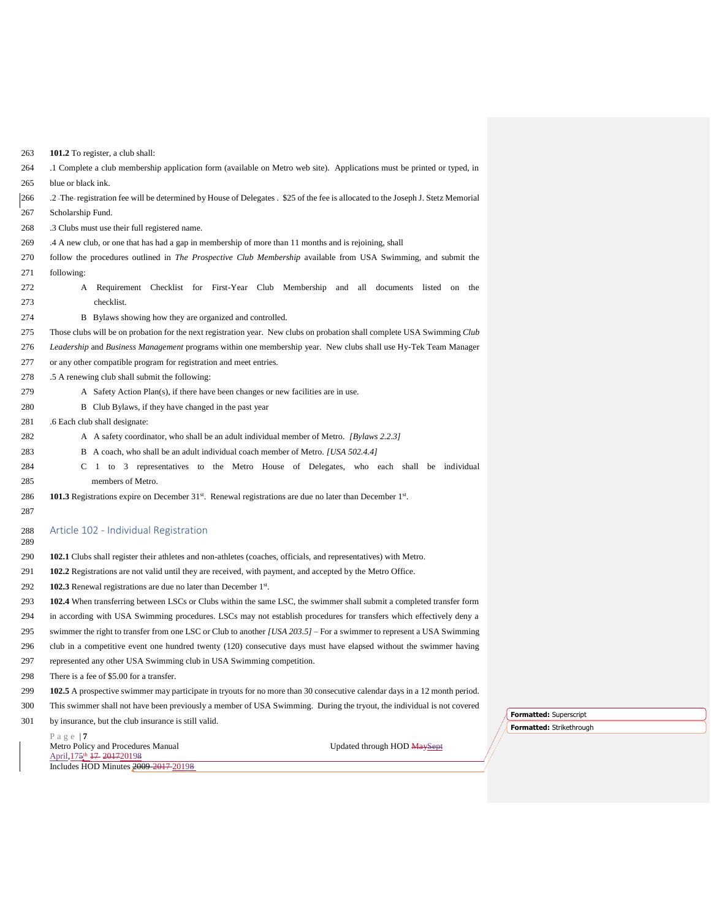<span id="page-6-0"></span>

| 263        | 101.2 To register, a club shall:                                                                                                 |        |  |  |
|------------|----------------------------------------------------------------------------------------------------------------------------------|--------|--|--|
| 264        | .1 Complete a club membership application form (available on Metro web site). Applications must be printed or typed, in          |        |  |  |
| 265        | blue or black ink.                                                                                                               |        |  |  |
| 266        | .2 -The-registration fee will be determined by House of Delegates . \$25 of the fee is allocated to the Joseph J. Stetz Memorial |        |  |  |
| 267        | Scholarship Fund.                                                                                                                |        |  |  |
| 268        | .3 Clubs must use their full registered name.                                                                                    |        |  |  |
| 269        | .4 A new club, or one that has had a gap in membership of more than 11 months and is rejoining, shall                            |        |  |  |
| 270        | follow the procedures outlined in <i>The Prospective Club Membership</i> available from USA Swimming, and submit the             |        |  |  |
| 271        | following:                                                                                                                       |        |  |  |
| 272        | A Requirement Checklist for First-Year Club Membership and all documents listed on the                                           |        |  |  |
| 273        | checklist.                                                                                                                       |        |  |  |
| 274        | B Bylaws showing how they are organized and controlled.                                                                          |        |  |  |
| 275        | Those clubs will be on probation for the next registration year. New clubs on probation shall complete USA Swimming Club         |        |  |  |
| 276        | Leadership and Business Management programs within one membership year. New clubs shall use Hy-Tek Team Manager                  |        |  |  |
| 277        | or any other compatible program for registration and meet entries.                                                               |        |  |  |
| 278        | .5 A renewing club shall submit the following:                                                                                   |        |  |  |
| 279        | A Safety Action Plan(s), if there have been changes or new facilities are in use.                                                |        |  |  |
| 280        | B Club Bylaws, if they have changed in the past year                                                                             |        |  |  |
| 281        | .6 Each club shall designate:                                                                                                    |        |  |  |
| 282        | A A safety coordinator, who shall be an adult individual member of Metro. [Bylaws 2.2.3]                                         |        |  |  |
| 283        | B A coach, who shall be an adult individual coach member of Metro. [USA 502.4.4]                                                 |        |  |  |
| 284        | C 1 to 3 representatives to the Metro House of Delegates, who each shall be individual                                           |        |  |  |
| 285        | members of Metro.                                                                                                                |        |  |  |
| 286        | 101.3 Registrations expire on December $31st$ . Renewal registrations are due no later than December $1st$ .                     |        |  |  |
| 287        |                                                                                                                                  |        |  |  |
| 288<br>289 | Article 102 - Individual Registration                                                                                            |        |  |  |
| 290        | 102.1 Clubs shall register their athletes and non-athletes (coaches, officials, and representatives) with Metro.                 |        |  |  |
| 291        | 102.2 Registrations are not valid until they are received, with payment, and accepted by the Metro Office.                       |        |  |  |
| 292        | 102.3 Renewal registrations are due no later than December $1st$ .                                                               |        |  |  |
| 293        | 102.4 When transferring between LSCs or Clubs within the same LSC, the swimmer shall submit a completed transfer form            |        |  |  |
| 294        | in according with USA Swimming procedures. LSCs may not establish procedures for transfers which effectively deny a              |        |  |  |
| 295        | swimmer the right to transfer from one LSC or Club to another [USA 203.5] – For a swimmer to represent a USA Swimming            |        |  |  |
| 296        | club in a competitive event one hundred twenty (120) consecutive days must have elapsed without the swimmer having               |        |  |  |
| 297        | represented any other USA Swimming club in USA Swimming competition.                                                             |        |  |  |
| 298        | There is a fee of \$5.00 for a transfer.                                                                                         |        |  |  |
| 299        | 102.5 A prospective swimmer may participate in tryouts for no more than 30 consecutive calendar days in a 12 month period.       |        |  |  |
| 300        | This swimmer shall not have been previously a member of USA Swimming. During the tryout, the individual is not covered           |        |  |  |
| 301        | by insurance, but the club insurance is still valid.                                                                             | F<br>F |  |  |
|            | Page $ 7$<br>Metro Policy and Procedures Manual<br>Updated through HOD MaySept<br>April, 175 <sup>th</sup> 17-201720198          |        |  |  |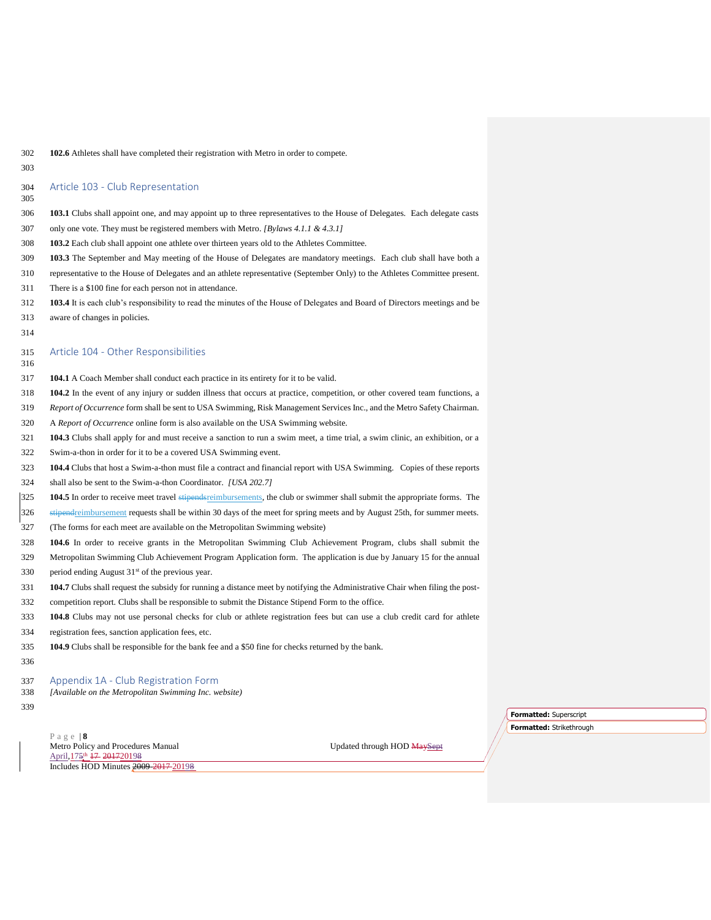# **102.6** Athletes shall have completed their registration with Metro in order to compete.

#### <span id="page-7-0"></span>Article 103 - Club Representation

# **103.1** Clubs shall appoint one, and may appoint up to three representatives to the House of Delegates. Each delegate casts only one vote. They must be registered members with Metro. *[Bylaws 4.1.1 & 4.3.1]*

- **103.2** Each club shall appoint one athlete over thirteen years old to the Athletes Committee.
- **103.3** The September and May meeting of the House of Delegates are mandatory meetings. Each club shall have both a
- representative to the House of Delegates and an athlete representative (September Only) to the Athletes Committee present.
- There is a \$100 fine for each person not in attendance.
- **103.4** It is each club's responsibility to read the minutes of the House of Delegates and Board of Directors meetings and be
- aware of changes in policies.
- 

#### <span id="page-7-1"></span> Article 104 - Other Responsibilities

- **104.1** A Coach Member shall conduct each practice in its entirety for it to be valid.
- **104.2** In the event of any injury or sudden illness that occurs at practice, competition, or other covered team functions, a
- *Report of Occurrence* form shall be sent to USA Swimming, Risk Management Services Inc., and the Metro Safety Chairman. A *Report of Occurrence* online form is also available on the USA Swimming website.
- **104.3** Clubs shall apply for and must receive a sanction to run a swim meet, a time trial, a swim clinic, an exhibition, or a
- Swim-a-thon in order for it to be a covered USA Swimming event.
- **104.4** Clubs that host a Swim-a-thon must file a contract and financial report with USA Swimming. Copies of these reports
- shall also be sent to the Swim-a-thon Coordinator. *[USA 202.7]*

**104.5** In order to receive meet travel stipendsreimbursements, the club or swimmer shall submit the appropriate forms. The

- 326 stipendreimbursement requests shall be within 30 days of the meet for spring meets and by August 25th, for summer meets. (The forms for each meet are available on the Metropolitan Swimming website)
- **104.6** In order to receive grants in the Metropolitan Swimming Club Achievement Program, clubs shall submit the
- Metropolitan Swimming Club Achievement Program Application form. The application is due by January 15 for the annual 330 period ending August  $31<sup>st</sup>$  of the previous year.
- **104.7** Clubs shall request the subsidy for running a distance meet by notifying the Administrative Chair when filing the post-
- competition report. Clubs shall be responsible to submit the Distance Stipend Form to the office.
- **104.8** Clubs may not use personal checks for club or athlete registration fees but can use a club credit card for athlete
- registration fees, sanction application fees, etc.
- **104.9** Clubs shall be responsible for the bank fee and a \$50 fine for checks returned by the bank.
- 

#### <span id="page-7-2"></span>Appendix 1A - Club Registration Form

- *[Available on the Metropolitan Swimming Inc. website)*
- 

P a g e | **8** Metro Policy and Procedures Manual Updated through HOD MaySept April, 175<sup>th</sup> 17 2017 2019 8 Includes HOD Minutes 2009-2017 20198

#### **Formatted:** Superscript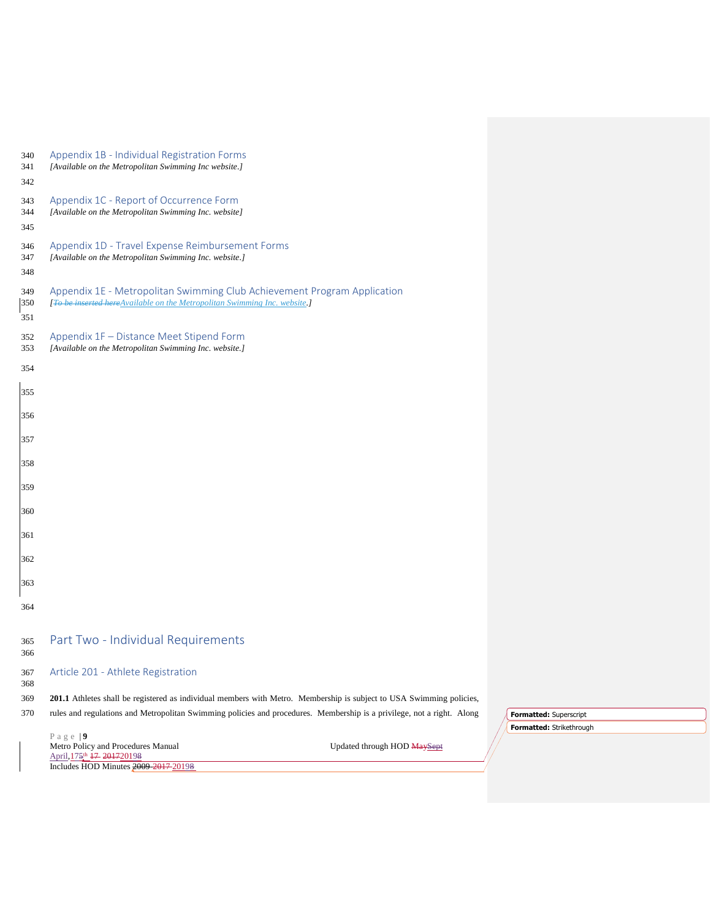<span id="page-8-6"></span><span id="page-8-5"></span><span id="page-8-4"></span><span id="page-8-3"></span><span id="page-8-2"></span><span id="page-8-1"></span><span id="page-8-0"></span>

| 340<br>341<br>342 | Appendix 1B - Individual Registration Forms<br>[Available on the Metropolitan Swimming Inc website.]                                                            |                          |
|-------------------|-----------------------------------------------------------------------------------------------------------------------------------------------------------------|--------------------------|
| 343<br>344<br>345 | Appendix 1C - Report of Occurrence Form<br>[Available on the Metropolitan Swimming Inc. website]                                                                |                          |
| 346<br>347<br>348 | Appendix 1D - Travel Expense Reimbursement Forms<br>[Available on the Metropolitan Swimming Inc. website.]                                                      |                          |
| 349<br>350<br>351 | Appendix 1E - Metropolitan Swimming Club Achievement Program Application<br>[To be inserted hereAvailable on the Metropolitan Swimming Inc. website.]           |                          |
| 352<br>353        | Appendix 1F - Distance Meet Stipend Form<br>[Available on the Metropolitan Swimming Inc. website.]                                                              |                          |
| 354<br>355        |                                                                                                                                                                 |                          |
| 356               |                                                                                                                                                                 |                          |
| 357               |                                                                                                                                                                 |                          |
| 358               |                                                                                                                                                                 |                          |
| 359               |                                                                                                                                                                 |                          |
| 360               |                                                                                                                                                                 |                          |
| 361               |                                                                                                                                                                 |                          |
| 362               |                                                                                                                                                                 |                          |
| 363               |                                                                                                                                                                 |                          |
| 364               |                                                                                                                                                                 |                          |
| 365<br>366        | Part Two - Individual Requirements                                                                                                                              |                          |
| 367<br>368        | Article 201 - Athlete Registration                                                                                                                              |                          |
| 369               | 201.1 Athletes shall be registered as individual members with Metro. Membership is subject to USA Swimming policies,                                            |                          |
| 370               | rules and regulations and Metropolitan Swimming policies and procedures. Membership is a privilege, not a right. Along                                          | Formatted: Superscript   |
|                   | Page $ 9$<br>Metro Policy and Procedures Manual<br>Updated through HOD MaySept<br>April, 175 <sup>th</sup> 17-201720198<br>Includes HOD Minutes 2009-2017 20198 | Formatted: Strikethrough |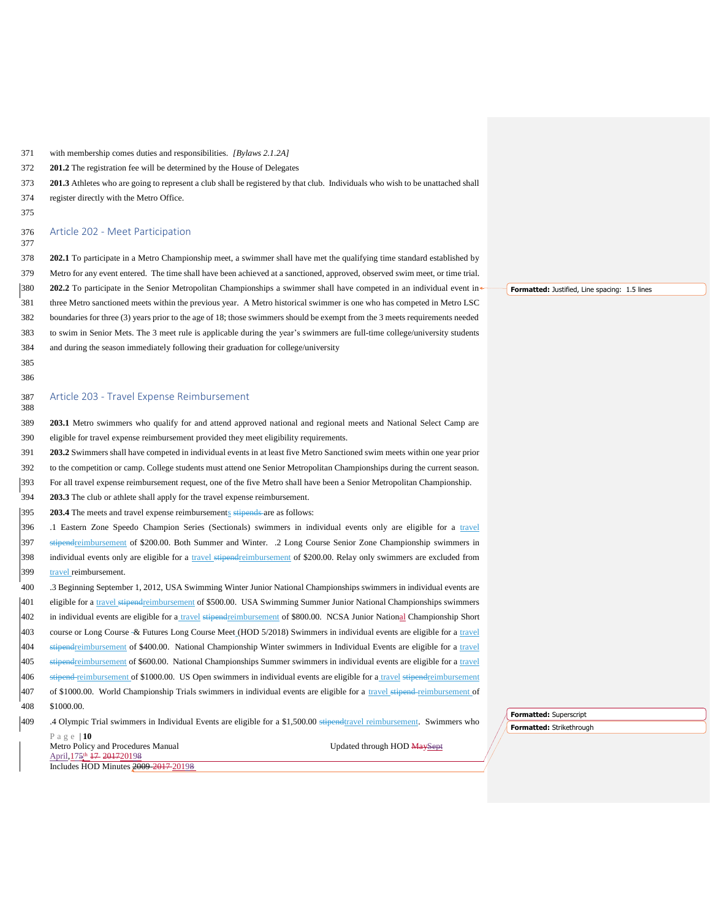- with membership comes duties and responsibilities. *[Bylaws 2.1.2A]*
- **201.2** The registration fee will be determined by the House of Delegates
- **201.3** Athletes who are going to represent a club shall be registered by that club. Individuals who wish to be unattached shall
- register directly with the Metro Office.
- 

# <span id="page-9-0"></span>Article 202 - Meet Participation

 **202.1** To participate in a Metro Championship meet, a swimmer shall have met the qualifying time standard established by Metro for any event entered. The time shall have been achieved at a sanctioned, approved, observed swim meet, or time trial. **202.2** To participate in the Senior Metropolitan Championships a swimmer shall have competed in an individual event in three Metro sanctioned meets within the previous year. A Metro historical swimmer is one who has competed in Metro LSC boundaries for three (3) years prior to the age of 18; those swimmers should be exempt from the 3 meets requirements needed to swim in Senior Mets. The 3 meet rule is applicable during the year's swimmers are full-time college/university students and during the season immediately following their graduation for college/university

 

# <span id="page-9-1"></span>Article 203 - Travel Expense Reimbursement

 **203.1** Metro swimmers who qualify for and attend approved national and regional meets and National Select Camp are eligible for travel expense reimbursement provided they meet eligibility requirements.

**203.2** Swimmers shall have competed in individual events in at least five Metro Sanctioned swim meets within one year prior

to the competition or camp. College students must attend one Senior Metropolitan Championships during the current season.

For all travel expense reimbursement request, one of the five Metro shall have been a Senior Metropolitan Championship.

**203.3** The club or athlete shall apply for the travel expense reimbursement.

**203.4** The meets and travel expense reimbursements stipends are as follows:

 .1 Eastern Zone Speedo Champion Series (Sectionals) swimmers in individual events only are eligible for a travel 397 stipendreimbursement of \$200.00. Both Summer and Winter. .2 Long Course Senior Zone Championship swimmers in 398 individual events only are eligible for a travel stipendreimbursement of \$200.00. Relay only swimmers are excluded from travel reimbursement.

 .3 Beginning September 1, 2012, USA Swimming Winter Junior National Championships swimmers in individual events are 401 eligible for a travel stipendreimbursement of \$500.00. USA Swimming Summer Junior National Championships swimmers 402 in individual events are eligible for a travel stipendreimbursement of \$800.00. NCSA Junior National Championship Short 403 course or Long Course -& Futures Long Course Meet (HOD 5/2018) Swimmers in individual events are eligible for a travel 404 stipendreimbursement of \$400.00. National Championship Winter swimmers in Individual Events are eligible for a travel 405 stipendreimbursement of \$600.00. National Championships Summer swimmers in individual events are eligible for a travel 406 stipend-reimbursement of \$1000.00. US Open swimmers in individual events are eligible for a travel stipendreimbursement 407 of \$1000.00. World Championship Trials swimmers in individual events are eligible for a travel stipend-reimbursement of \$1000.00. 409 .4 Olympic Trial swimmers in Individual Events are eligible for a \$1,500.00 stipendtravel reimbursement. Swimmers who

P a g e | **10** Metro Policy and Procedures Manual Updated through HOD MaySept April, 175<sup>th</sup> 17 2017 2019 8 Includes HOD Minutes 2009-2017 20198

**Formatted:** Justified, Line spacing: 1.5 lines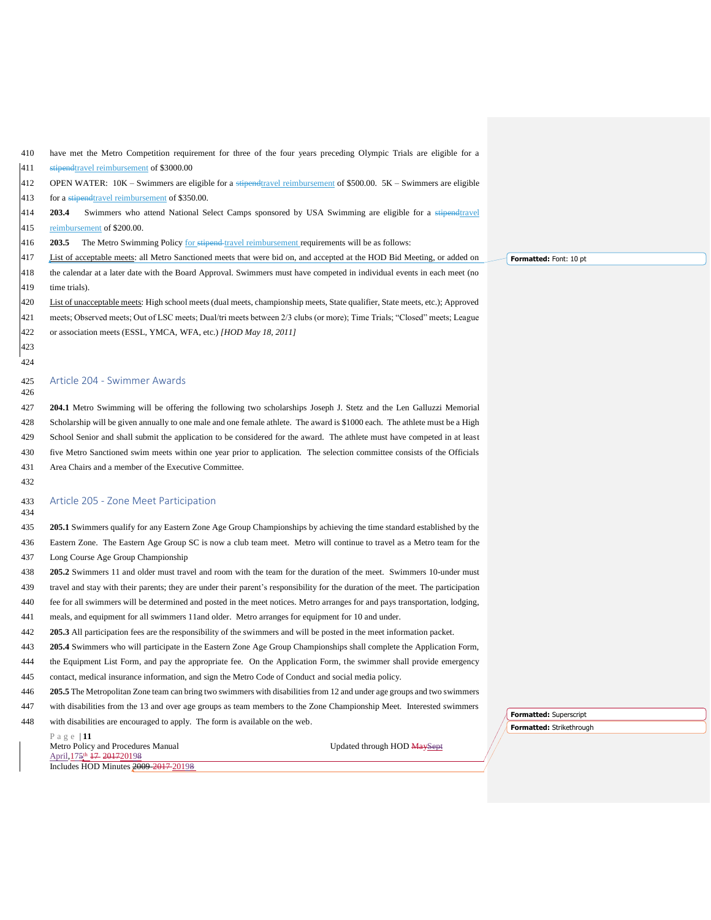<span id="page-10-0"></span>

| 411 | stipendtravel reimbursement of \$3000.00                                                                                         |                         |
|-----|----------------------------------------------------------------------------------------------------------------------------------|-------------------------|
| 412 | OPEN WATER: $10K - Swimmers$ are eligible for a stipend travel reimbursement of \$500.00. $5K - Swimmers$ are eligible           |                         |
| 413 | for a stipendtravel reimbursement of \$350.00.                                                                                   |                         |
| 414 | 203.4<br>Swimmers who attend National Select Camps sponsored by USA Swimming are eligible for a stipend travel                   |                         |
| 415 | reimbursement of \$200.00.                                                                                                       |                         |
| 416 | 203.5<br>The Metro Swimming Policy for stipend-travel reimbursement requirements will be as follows:                             |                         |
| 417 | List of acceptable meets: all Metro Sanctioned meets that were bid on, and accepted at the HOD Bid Meeting, or added on          | Formatted: Font: 10 pt  |
| 418 | the calendar at a later date with the Board Approval. Swimmers must have competed in individual events in each meet (no          |                         |
| 419 | time trials).                                                                                                                    |                         |
| 420 | List of unacceptable meets: High school meets (dual meets, championship meets, State qualifier, State meets, etc.); Approved     |                         |
| 421 | meets; Observed meets; Out of LSC meets; Dual/tri meets between 2/3 clubs (or more); Time Trials; "Closed" meets; League         |                         |
| 422 | or association meets (ESSL, YMCA, WFA, etc.) [HOD May 18, 2011]                                                                  |                         |
| 423 |                                                                                                                                  |                         |
| 424 |                                                                                                                                  |                         |
| 425 | Article 204 - Swimmer Awards                                                                                                     |                         |
| 426 |                                                                                                                                  |                         |
| 427 | 204.1 Metro Swimming will be offering the following two scholarships Joseph J. Stetz and the Len Galluzzi Memorial               |                         |
| 428 | Scholarship will be given annually to one male and one female athlete. The award is \$1000 each. The athlete must be a High      |                         |
| 429 | School Senior and shall submit the application to be considered for the award. The athlete must have competed in at least        |                         |
| 430 | five Metro Sanctioned swim meets within one year prior to application. The selection committee consists of the Officials         |                         |
| 431 | Area Chairs and a member of the Executive Committee.                                                                             |                         |
| 432 |                                                                                                                                  |                         |
| 433 | Article 205 - Zone Meet Participation                                                                                            |                         |
| 434 |                                                                                                                                  |                         |
| 435 | 205.1 Swimmers qualify for any Eastern Zone Age Group Championships by achieving the time standard established by the            |                         |
| 436 | Eastern Zone. The Eastern Age Group SC is now a club team meet. Metro will continue to travel as a Metro team for the            |                         |
| 437 | Long Course Age Group Championship                                                                                               |                         |
| 438 | 205.2 Swimmers 11 and older must travel and room with the team for the duration of the meet. Swimmers 10-under must              |                         |
| 439 | travel and stay with their parents; they are under their parent's responsibility for the duration of the meet. The participation |                         |
| 440 | fee for all swimmers will be determined and posted in the meet notices. Metro arranges for and pays transportation, lodging,     |                         |
| 441 | meals, and equipment for all swimmers 11 and older. Metro arranges for equipment for 10 and under.                               |                         |
| 442 | <b>205.3</b> All participation fees are the responsibility of the swimmers and will be posted in the meet information packet.    |                         |
| 443 | 205.4 Swimmers who will participate in the Eastern Zone Age Group Championships shall complete the Application Form,             |                         |
| 444 | the Equipment List Form, and pay the appropriate fee. On the Application Form, the swimmer shall provide emergency               |                         |
| 445 | contact, medical insurance information, and sign the Metro Code of Conduct and social media policy.                              |                         |
| 446 | 205.5 The Metropolitan Zone team can bring two swimmers with disabilities from 12 and under age groups and two swimmers          |                         |
| 447 | with disabilities from the 13 and over age groups as team members to the Zone Championship Meet. Interested swimmers             | Formatted: Superscript  |
| 448 | with disabilities are encouraged to apply. The form is available on the web.                                                     | Formatted: Strikethroug |
|     | Page   11                                                                                                                        |                         |

have met the Metro Competition requirement for three of the four years preceding Olympic Trials are eligible for a

<span id="page-10-1"></span>Metro Policy and Procedures Manual New York Control of the Updated through HOD MaySept April, 175<sup>th</sup> 17 2017 2019 8 Includes HOD Minutes <del>2009-2017</del>-20198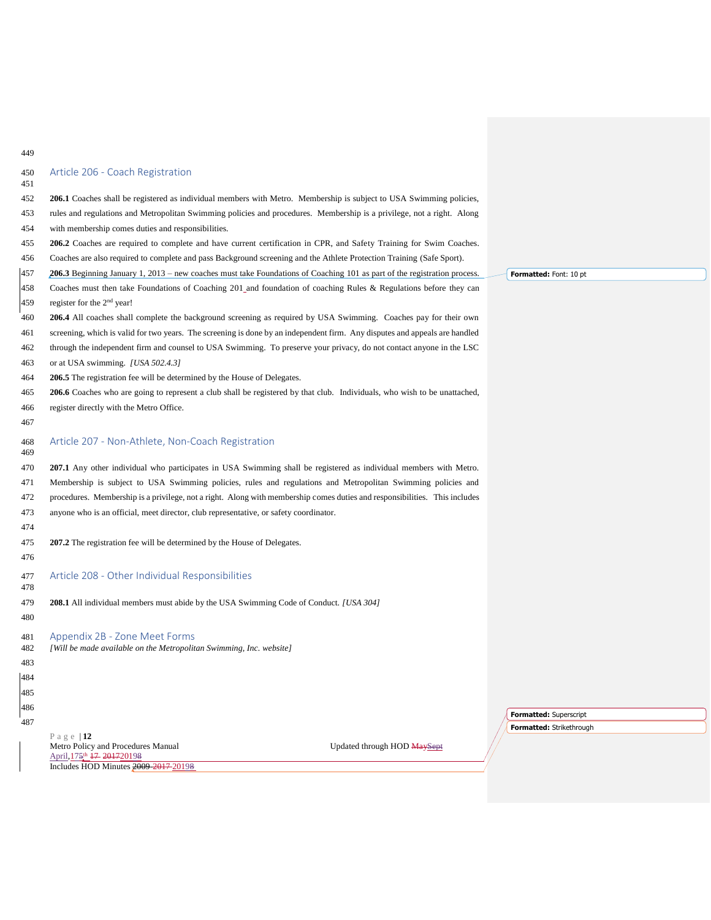# <span id="page-11-0"></span>Article 206 - Coach Registration

<span id="page-11-1"></span>

| 451 |                                                                                                                             |
|-----|-----------------------------------------------------------------------------------------------------------------------------|
| 452 | 206.1 Coaches shall be registered as individual members with Metro. Membership is subject to USA Swimming policies,         |
| 453 | rules and regulations and Metropolitan Swimming policies and procedures. Membership is a privilege, not a right. Along      |
| 454 | with membership comes duties and responsibilities.                                                                          |
| 455 | 206.2 Coaches are required to complete and have current certification in CPR, and Safety Training for Swim Coaches.         |
| 456 | Coaches are also required to complete and pass Background screening and the Athlete Protection Training (Safe Sport).       |
| 457 | 206.3 Beginning January 1, 2013 - new coaches must take Foundations of Coaching 101 as part of the registration process.    |
| 458 | Coaches must then take Foundations of Coaching 201 and foundation of coaching Rules & Regulations before they can           |
| 459 | register for the 2 <sup>nd</sup> year!                                                                                      |
| 460 | 206.4 All coaches shall complete the background screening as required by USA Swimming. Coaches pay for their own            |
| 461 | screening, which is valid for two years. The screening is done by an independent firm. Any disputes and appeals are handled |
| 462 | through the independent firm and counsel to USA Swimming. To preserve your privacy, do not contact anyone in the LSC        |
| 463 | or at USA swimming. [USA 502.4.3]                                                                                           |
| 464 | 206.5 The registration fee will be determined by the House of Delegates.                                                    |
| 465 | 206.6 Coaches who are going to represent a club shall be registered by that club. Individuals, who wish to be unattached,   |
| 466 | register directly with the Metro Office.                                                                                    |
| 467 |                                                                                                                             |
| 468 | Article 207 - Non-Athlete, Non-Coach Registration                                                                           |
| 469 |                                                                                                                             |
| 470 | 207.1 Any other individual who participates in USA Swimming shall be registered as individual members with Metro.           |
| 471 | Membership is subject to USA Swimming policies, rules and regulations and Metropolitan Swimming policies and                |
| 472 | procedures. Membership is a privilege, not a right. Along with membership comes duties and responsibilities. This includes  |
| 473 | anyone who is an official, meet director, club representative, or safety coordinator.                                       |
| 474 |                                                                                                                             |
| 475 | 207.2 The registration fee will be determined by the House of Delegates.                                                    |
| 476 |                                                                                                                             |
| 477 | Article 208 - Other Individual Responsibilities                                                                             |
| 478 |                                                                                                                             |
| 479 | <b>208.1</b> All individual members must abide by the USA Swimming Code of Conduct. [USA 304]                               |
| 480 |                                                                                                                             |
| 481 | Appendix 2B - Zone Meet Forms                                                                                               |
| 482 | [Will be made available on the Metropolitan Swimming, Inc. website]                                                         |
| 483 |                                                                                                                             |
| 484 |                                                                                                                             |
| 485 |                                                                                                                             |
| 486 |                                                                                                                             |
| 487 |                                                                                                                             |
|     | Page $ 12$                                                                                                                  |
|     | Metro Policy and Procedures Manual<br>Updated through HOD MaySept                                                           |

**Formatted:** Font: 10 pt

<span id="page-11-3"></span><span id="page-11-2"></span>April, 175<sup>th</sup> 17 2017 2019 8 Includes HOD Minutes <del>2009-2017</del>-20198

**Formatted:** Superscript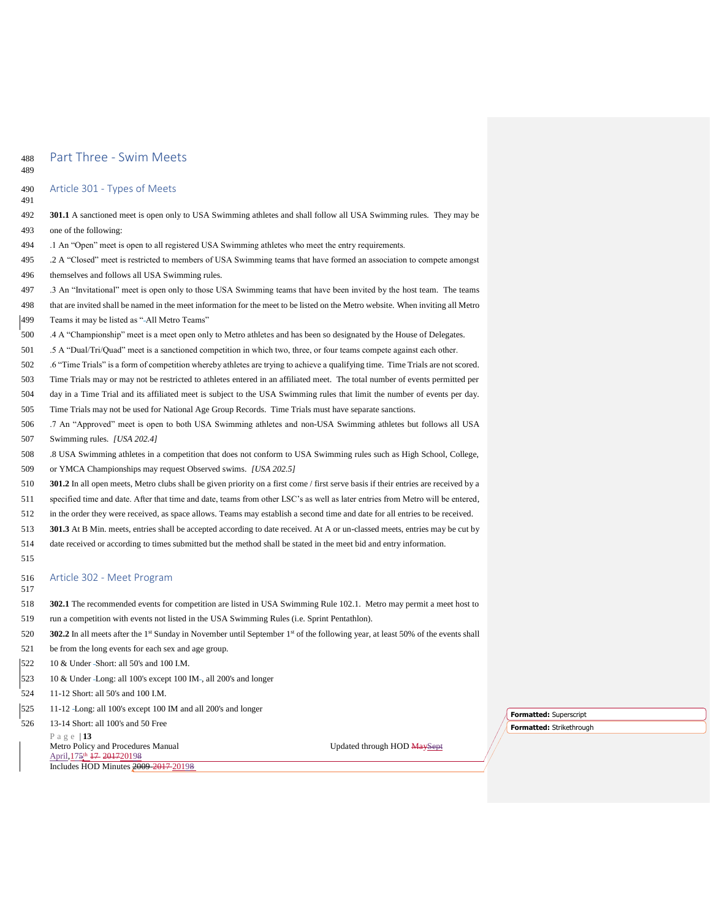# <span id="page-12-0"></span>Part Three - Swim Meets

#### <span id="page-12-1"></span> Article 301 - Types of Meets

# **301.1** A sanctioned meet is open only to USA Swimming athletes and shall follow all USA Swimming rules. They may be

- one of the following:
- .1 An "Open" meet is open to all registered USA Swimming athletes who meet the entry requirements.
- .2 A "Closed" meet is restricted to members of USA Swimming teams that have formed an association to compete amongst themselves and follows all USA Swimming rules.
- .3 An "Invitational" meet is open only to those USA Swimming teams that have been invited by the host team. The teams
- that are invited shall be named in the meet information for the meet to be listed on the Metro website. When inviting all Metro Teams it may be listed as " All Metro Teams"
- .4 A "Championship" meet is a meet open only to Metro athletes and has been so designated by the House of Delegates.
- .5 A "Dual/Tri/Quad" meet is a sanctioned competition in which two, three, or four teams compete against each other.
- .6 "Time Trials" is a form of competition whereby athletes are trying to achieve a qualifying time. Time Trials are not scored.
- Time Trials may or may not be restricted to athletes entered in an affiliated meet. The total number of events permitted per
- day in a Time Trial and its affiliated meet is subject to the USA Swimming rules that limit the number of events per day.
- Time Trials may not be used for National Age Group Records. Time Trials must have separate sanctions.
- .7 An "Approved" meet is open to both USA Swimming athletes and non-USA Swimming athletes but follows all USA Swimming rules. *[USA 202.4]*
- .8 USA Swimming athletes in a competition that does not conform to USA Swimming rules such as High School, College,
- or YMCA Championships may request Observed swims. *[USA 202.5]*
- **301.2** In all open meets, Metro clubs shall be given priority on a first come / first serve basis if their entries are received by a
- specified time and date. After that time and date, teams from other LSC's as well as later entries from Metro will be entered,
- in the order they were received, as space allows. Teams may establish a second time and date for all entries to be received.
- **301.3** At B Min. meets, entries shall be accepted according to date received. At A or un-classed meets, entries may be cut by
- date received or according to times submitted but the method shall be stated in the meet bid and entry information.
- 

#### <span id="page-12-2"></span>Article 302 - Meet Program

- **302.1** The recommended events for competition are listed in USA Swimming Rule 102.1. Metro may permit a meet host to
- run a competition with events not listed in the USA Swimming Rules (i.e. Sprint Pentathlon).
- **302.2** In all meets after the 1<sup>st</sup> Sunday in November until September 1<sup>st</sup> of the following year, at least 50% of the events shall
- be from the long events for each sex and age group.
- 10 & Under Short: all 50's and 100 I.M.
- 10 & Under Long: all 100's except 100 IM , all 200's and longer
- 11-12 Short: all 50's and 100 I.M.
- 11-12 Long: all 100's except 100 IM and all 200's and longer

13-14 Short: all 100's and 50 Free

P a g e | **13** Metro Policy and Procedures Manual Updated through HOD MaySept April, 175<sup>th</sup> 17 2017 2019 8 Includes HOD Minutes 2009-2017 20198

**Formatted:** Superscript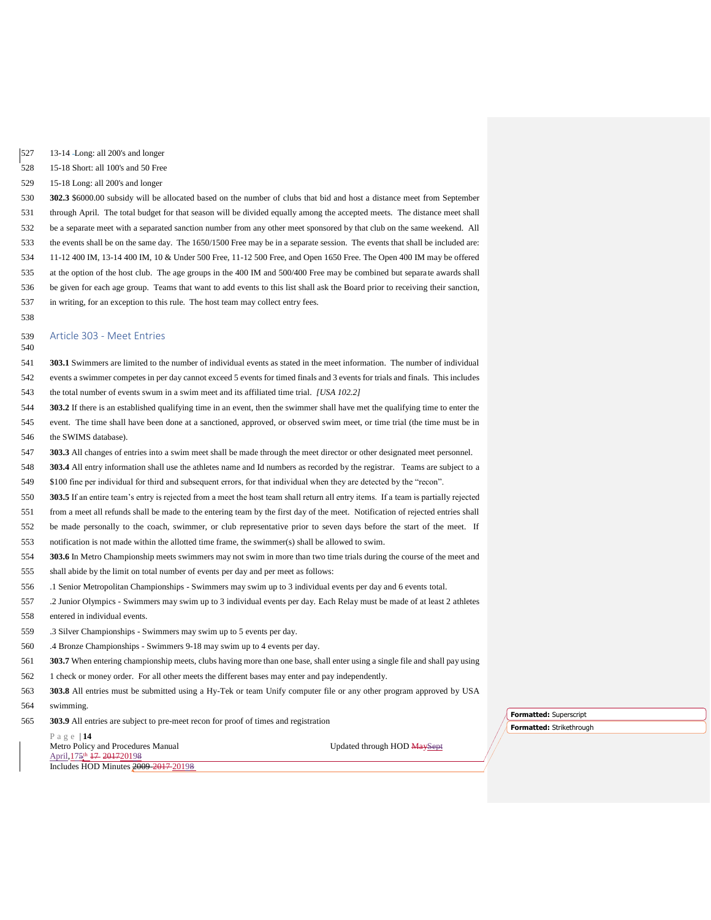- 13-14 Long: all 200's and longer
- 15-18 Short: all 100's and 50 Free
- 15-18 Long: all 200's and longer

 **302.3** \$6000.00 subsidy will be allocated based on the number of clubs that bid and host a distance meet from September through April. The total budget for that season will be divided equally among the accepted meets. The distance meet shall be a separate meet with a separated sanction number from any other meet sponsored by that club on the same weekend. All the events shall be on the same day. The 1650/1500 Free may be in a separate session. The events that shall be included are: 11-12 400 IM, 13-14 400 IM, 10 & Under 500 Free, 11-12 500 Free, and Open 1650 Free. The Open 400 IM may be offered 535 at the option of the host club. The age groups in the 400 IM and 500/400 Free may be combined but separate awards shall be given for each age group. Teams that want to add events to this list shall ask the Board prior to receiving their sanction, in writing, for an exception to this rule. The host team may collect entry fees.

# <span id="page-13-0"></span>Article 303 - Meet Entries

 **303.1** Swimmers are limited to the number of individual events as stated in the meet information. The number of individual events a swimmer competes in per day cannot exceed 5 events for timed finals and 3 events for trials and finals. This includes

- the total number of events swum in a swim meet and its affiliated time trial. *[USA 102.2]*
- **303.2** If there is an established qualifying time in an event, then the swimmer shall have met the qualifying time to enter the event. The time shall have been done at a sanctioned, approved, or observed swim meet, or time trial (the time must be in the SWIMS database).
- **303.3** All changes of entries into a swim meet shall be made through the meet director or other designated meet personnel.
- **303.4** All entry information shall use the athletes name and Id numbers as recorded by the registrar. Teams are subject to a
- \$100 fine per individual for third and subsequent errors, for that individual when they are detected by the "recon".
- **303.5** If an entire team's entry is rejected from a meet the host team shall return all entry items. If a team is partially rejected
- from a meet all refunds shall be made to the entering team by the first day of the meet. Notification of rejected entries shall
- be made personally to the coach, swimmer, or club representative prior to seven days before the start of the meet. If
- notification is not made within the allotted time frame, the swimmer(s) shall be allowed to swim.
- **303.6** In Metro Championship meets swimmers may not swim in more than two time trials during the course of the meet and
- shall abide by the limit on total number of events per day and per meet as follows:
- .1 Senior Metropolitan Championships Swimmers may swim up to 3 individual events per day and 6 events total.
- .2 Junior Olympics Swimmers may swim up to 3 individual events per day. Each Relay must be made of at least 2 athletes entered in individual events.
- .3 Silver Championships Swimmers may swim up to 5 events per day.
- .4 Bronze Championships Swimmers 9-18 may swim up to 4 events per day.
- **303.7** When entering championship meets, clubs having more than one base, shall enter using a single file and shall pay using
- 1 check or money order. For all other meets the different bases may enter and pay independently.
- **303.8** All entries must be submitted using a Hy-Tek or team Unify computer file or any other program approved by USA
- swimming.
- **303.9** All entries are subject to pre-meet recon for proof of times and registration

P a g e | **14** Metro Policy and Procedures Manual Updated through HOD MaySept April, 175<sup>th</sup> 17 2017 2019 8 Includes HOD Minutes 2009-2017 20198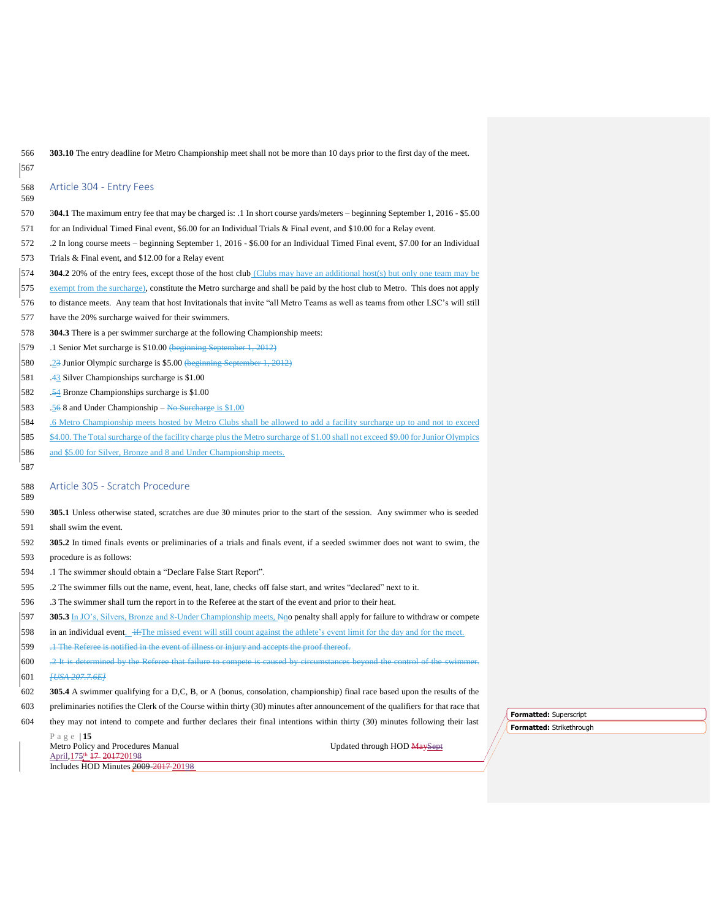<span id="page-14-1"></span>P a g e | **15** Metro Policy and Procedures Manual Updated through HOD MaySept April, 175<sup>th</sup> 17 2017 2019 8 Includes HOD Minutes 2009-2017 20198 Article 304 - Entry Fees 3**04.1** The maximum entry fee that may be charged is: .1 In short course yards/meters – beginning September 1, 2016 - \$5.00 for an Individual Timed Final event, \$6.00 for an Individual Trials & Final event, and \$10.00 for a Relay event. .2 In long course meets – beginning September 1, 2016 - \$6.00 for an Individual Timed Final event, \$7.00 for an Individual Trials & Final event, and \$12.00 for a Relay event **304.2** 20% of the entry fees, except those of the host club (Clubs may have an additional host(s) but only one team may be 575 exempt from the surcharge), constitute the Metro surcharge and shall be paid by the host club to Metro. This does not apply to distance meets. Any team that host Invitationals that invite "all Metro Teams as well as teams from other LSC's will still have the 20% surcharge waived for their swimmers. **304.3** There is a per swimmer surcharge at the following Championship meets: .1 Senior Met surcharge is \$10.00 (beginning September 1, 2012) .23 Junior Olympic surcharge is \$5.00 (beginning September 1, 2012) 581 .43 Silver Championships surcharge is \$1.00 .54 Bronze Championships surcharge is \$1.00 583 .56 8 and Under Championship – No Surcharge is \$1.00 .6 Metro Championship meets hosted by Metro Clubs shall be allowed to add a facility surcharge up to and not to exceed 585 \$4.00. The Total surcharge of the facility charge plus the Metro surcharge of \$1.00 shall not exceed \$9.00 for Junior Olympics and \$5.00 for Silver, Bronze and 8 and Under Championship meets. Article 305 - Scratch Procedure **305.1** Unless otherwise stated, scratches are due 30 minutes prior to the start of the session. Any swimmer who is seeded shall swim the event. **305.2** In timed finals events or preliminaries of a trials and finals event, if a seeded swimmer does not want to swim, the procedure is as follows: .1 The swimmer should obtain a "Declare False Start Report". .2 The swimmer fills out the name, event, heat, lane, checks off false start, and writes "declared" next to it. .3 The swimmer shall turn the report in to the Referee at the start of the event and prior to their heat. **305.3** In JO's, Silvers, Bronze and 8-Under Championship meets, Nno penalty shall apply for failure to withdraw or compete 598 in an individual event. if: The missed event will still count against the athlete's event limit for the day and for the meet. 599 .1 The Referee is notified in the event of illness or injury and accepts the proof thereof.  $600 -2$  It is determined by the Referee that failure to compete is caused by circumstances beyond the control of the swim *[USA 207.7.6E]* **305.4** A swimmer qualifying for a D,C, B, or A (bonus, consolation, championship) final race based upon the results of the preliminaries notifies the Clerk of the Course within thirty (30) minutes after announcement of the qualifiers for that race that they may not intend to compete and further declares their final intentions within thirty (30) minutes following their last

**303.10** The entry deadline for Metro Championship meet shall not be more than 10 days prior to the first day of the meet.

<span id="page-14-0"></span>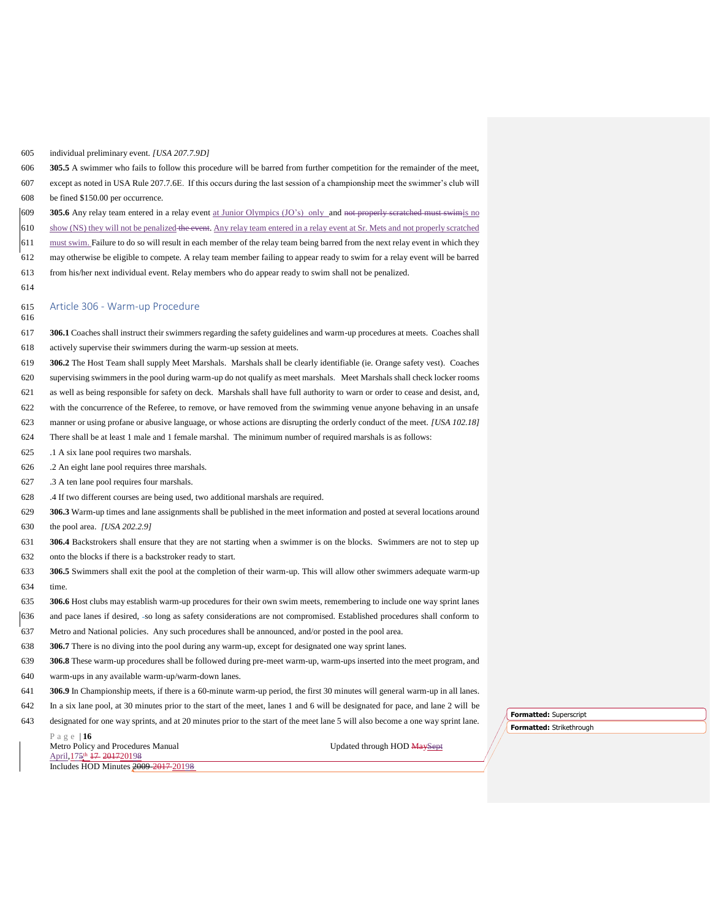# individual preliminary event. *[USA 207.7.9D]*

 **305.5** A swimmer who fails to follow this procedure will be barred from further competition for the remainder of the meet, except as noted in USA Rule 207.7.6E. If this occurs during the last session of a championship meet the swimmer's club will be fined \$150.00 per occurrence.

**305.6** Any relay team entered in a relay event at Junior Olympics (JO's) only and not properly scratched must swimis no

610 show (NS) they will not be penalized the event. Any relay team entered in a relay event at Sr. Mets and not properly scratched

 must swim. Failure to do so will result in each member of the relay team being barred from the next relay event in which they may otherwise be eligible to compete. A relay team member failing to appear ready to swim for a relay event will be barred

from his/her next individual event. Relay members who do appear ready to swim shall not be penalized.

# <span id="page-15-0"></span>Article 306 - Warm-up Procedure

 **306.1** Coaches shall instruct their swimmers regarding the safety guidelines and warm-up procedures at meets. Coaches shall actively supervise their swimmers during the warm-up session at meets.

**306.2** The Host Team shall supply Meet Marshals. Marshals shall be clearly identifiable (ie. Orange safety vest). Coaches

supervising swimmers in the pool during warm-up do not qualify as meet marshals. Meet Marshals shall check locker rooms

as well as being responsible for safety on deck. Marshals shall have full authority to warn or order to cease and desist, and,

with the concurrence of the Referee, to remove, or have removed from the swimming venue anyone behaving in an unsafe

manner or using profane or abusive language, or whose actions are disrupting the orderly conduct of the meet. *[USA 102.18]*

There shall be at least 1 male and 1 female marshal. The minimum number of required marshals is as follows:

.1 A six lane pool requires two marshals.

.2 An eight lane pool requires three marshals.

- .3 A ten lane pool requires four marshals.
- .4 If two different courses are being used, two additional marshals are required.

 **306.3** Warm-up times and lane assignments shall be published in the meet information and posted at several locations around the pool area. *[USA 202.2.9]*

 **306.4** Backstrokers shall ensure that they are not starting when a swimmer is on the blocks. Swimmers are not to step up onto the blocks if there is a backstroker ready to start.

- **306.5** Swimmers shall exit the pool at the completion of their warm-up. This will allow other swimmers adequate warm-up time.
- **306.6** Host clubs may establish warm-up procedures for their own swim meets, remembering to include one way sprint lanes
- and pace lanes if desired, so long as safety considerations are not compromised. Established procedures shall conform to
- Metro and National policies. Any such procedures shall be announced, and/or posted in the pool area.
- **306.7** There is no diving into the pool during any warm-up, except for designated one way sprint lanes.
- **306.8** These warm-up procedures shall be followed during pre-meet warm-up, warm-ups inserted into the meet program, and
- warm-ups in any available warm-up/warm-down lanes.
- **306.9** In Championship meets, if there is a 60-minute warm-up period, the first 30 minutes will general warm-up in all lanes.

In a six lane pool, at 30 minutes prior to the start of the meet, lanes 1 and 6 will be designated for pace, and lane 2 will be

designated for one way sprints, and at 20 minutes prior to the start of the meet lane 5 will also become a one way sprint lane.

P a g e | **16** Metro Policy and Procedures Manual Updated through HOD MaySept April, 175<sup>th</sup> 17 2017 2019 8 Includes HOD Minutes 2009-2017 20198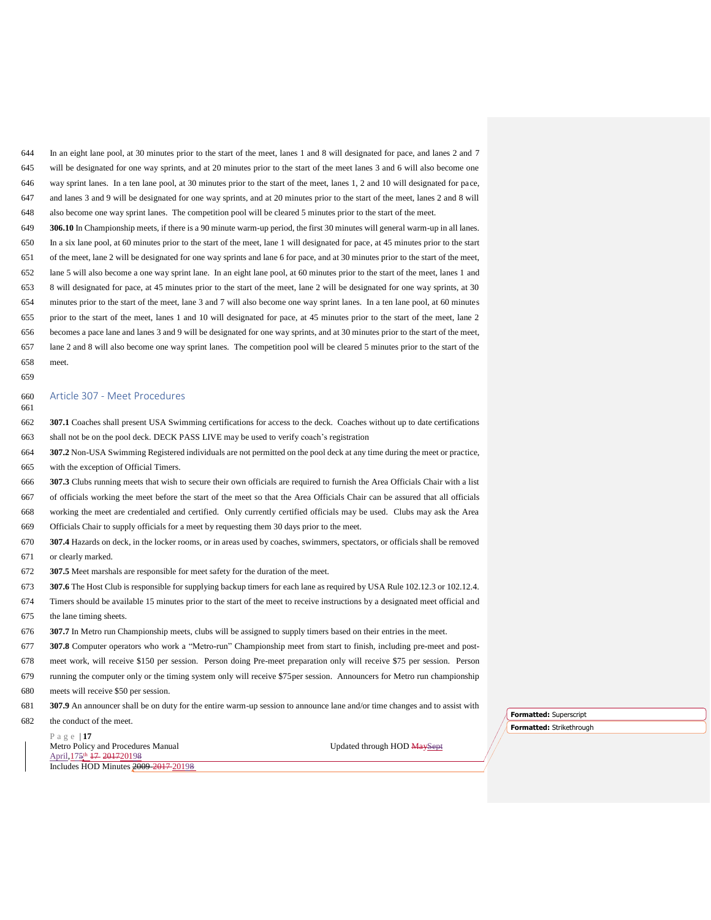In an eight lane pool, at 30 minutes prior to the start of the meet, lanes 1 and 8 will designated for pace, and lanes 2 and 7 will be designated for one way sprints, and at 20 minutes prior to the start of the meet lanes 3 and 6 will also become one 646 way sprint lanes. In a ten lane pool, at 30 minutes prior to the start of the meet, lanes 1, 2 and 10 will designated for pace, and lanes 3 and 9 will be designated for one way sprints, and at 20 minutes prior to the start of the meet, lanes 2 and 8 will also become one way sprint lanes. The competition pool will be cleared 5 minutes prior to the start of the meet.

 **306.10** In Championship meets, if there is a 90 minute warm-up period, the first 30 minutes will general warm-up in all lanes. In a six lane pool, at 60 minutes prior to the start of the meet, lane 1 will designated for pace, at 45 minutes prior to the start of the meet, lane 2 will be designated for one way sprints and lane 6 for pace, and at 30 minutes prior to the start of the meet, lane 5 will also become a one way sprint lane. In an eight lane pool, at 60 minutes prior to the start of the meet, lanes 1 and 8 will designated for pace, at 45 minutes prior to the start of the meet, lane 2 will be designated for one way sprints, at 30 minutes prior to the start of the meet, lane 3 and 7 will also become one way sprint lanes. In a ten lane pool, at 60 minutes prior to the start of the meet, lanes 1 and 10 will designated for pace, at 45 minutes prior to the start of the meet, lane 2 becomes a pace lane and lanes 3 and 9 will be designated for one way sprints, and at 30 minutes prior to the start of the meet, lane 2 and 8 will also become one way sprint lanes. The competition pool will be cleared 5 minutes prior to the start of the meet.

# <span id="page-16-0"></span>Article 307 - Meet Procedures

 **307.1** Coaches shall present USA Swimming certifications for access to the deck. Coaches without up to date certifications shall not be on the pool deck. DECK PASS LIVE may be used to verify coach's registration

 **307.2** Non-USA Swimming Registered individuals are not permitted on the pool deck at any time during the meet or practice, with the exception of Official Timers.

 **307.3** Clubs running meets that wish to secure their own officials are required to furnish the Area Officials Chair with a list of officials working the meet before the start of the meet so that the Area Officials Chair can be assured that all officials working the meet are credentialed and certified. Only currently certified officials may be used. Clubs may ask the Area

Officials Chair to supply officials for a meet by requesting them 30 days prior to the meet.

 **307.4** Hazards on deck, in the locker rooms, or in areas used by coaches, swimmers, spectators, or officials shall be removed or clearly marked.

**307.5** Meet marshals are responsible for meet safety for the duration of the meet.

**307.6** The Host Club is responsible for supplying backup timers for each lane as required by USA Rule 102.12.3 or 102.12.4.

 Timers should be available 15 minutes prior to the start of the meet to receive instructions by a designated meet official and the lane timing sheets.

**307.7** In Metro run Championship meets, clubs will be assigned to supply timers based on their entries in the meet.

 **307.8** Computer operators who work a "Metro-run" Championship meet from start to finish, including pre-meet and post-meet work, will receive \$150 per session. Person doing Pre-meet preparation only will receive \$75 per session. Person

- running the computer only or the timing system only will receive \$75per session. Announcers for Metro run championship
- meets will receive \$50 per session.

 **307.9** An announcer shall be on duty for the entire warm-up session to announce lane and/or time changes and to assist with the conduct of the meet.

P a g e | **17** Metro Policy and Procedures Manual Updated through HOD MaySept April, 175<sup>th</sup> 17 2017 2019 8 Includes HOD Minutes 2009-2017 20198

**Formatted:** Superscript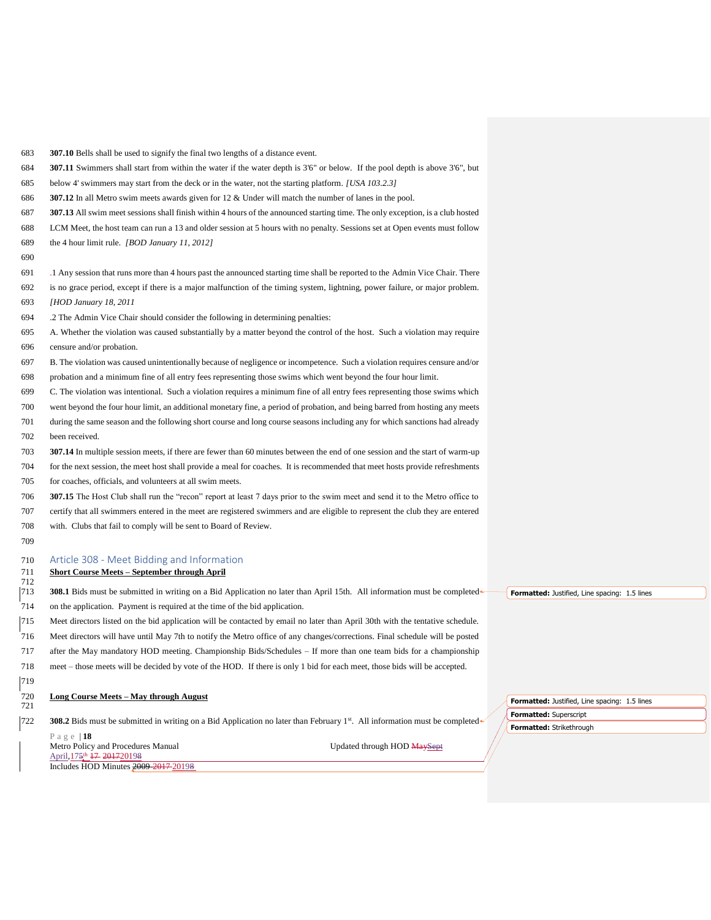**307.10** Bells shall be used to signify the final two lengths of a distance event.

**307.11** Swimmers shall start from within the water if the water depth is 3'6" or below. If the pool depth is above 3'6", but

below 4' swimmers may start from the deck or in the water, not the starting platform. *[USA 103.2.3]*

**307.12** In all Metro swim meets awards given for 12 & Under will match the number of lanes in the pool.

**307.13** All swim meet sessions shall finish within 4 hours of the announced starting time. The only exception, is a club hosted

 LCM Meet, the host team can run a 13 and older session at 5 hours with no penalty. Sessions set at Open events must follow the 4 hour limit rule*. [BOD January 11, 2012]*

 .1 Any session that runs more than 4 hours past the announced starting time shall be reported to the Admin Vice Chair. There is no grace period, except if there is a major malfunction of the timing system, lightning, power failure, or major problem.

*[HOD January 18, 2011*

.2 The Admin Vice Chair should consider the following in determining penalties:

 A. Whether the violation was caused substantially by a matter beyond the control of the host. Such a violation may require censure and/or probation.

B. The violation was caused unintentionally because of negligence or incompetence. Such a violation requires censure and/or

probation and a minimum fine of all entry fees representing those swims which went beyond the four hour limit.

C. The violation was intentional. Such a violation requires a minimum fine of all entry fees representing those swims which

- went beyond the four hour limit, an additional monetary fine, a period of probation, and being barred from hosting any meets during the same season and the following short course and long course seasons including any for which sanctions had already been received.
- **307.14** In multiple session meets, if there are fewer than 60 minutes between the end of one session and the start of warm-up for the next session, the meet host shall provide a meal for coaches. It is recommended that meet hosts provide refreshments
- for coaches, officials, and volunteers at all swim meets.

**307.15** The Host Club shall run the "recon" report at least 7 days prior to the swim meet and send it to the Metro office to

 certify that all swimmers entered in the meet are registered swimmers and are eligible to represent the club they are entered with. Clubs that fail to comply will be sent to Board of Review.

# <span id="page-17-0"></span>Article 308 - Meet Bidding and Information

 **Short Course Meets – September through April** 

 **308.1** Bids must be submitted in writing on a Bid Application no later than April 15th. All information must be completed on the application. Payment is required at the time of the bid application.

Meet directors listed on the bid application will be contacted by email no later than April 30th with the tentative schedule.

Meet directors will have until May 7th to notify the Metro office of any changes/corrections. Final schedule will be posted

after the May mandatory HOD meeting. Championship Bids/Schedules – If more than one team bids for a championship

meet – those meets will be decided by vote of the HOD. If there is only 1 bid for each meet, those bids will be accepted.

- 
- **Long Course Meets – May through August**

**308.2** Bids must be submitted in writing on a Bid Application no later than February 1<sup>st</sup>. All information must be completed

P a g e | **18** Metro Policy and Procedures Manual Updated through HOD MaySept April, 175<sup>th</sup> 17 2017 2019 8 Includes HOD Minutes 2009-2017 20198

**Formatted:** Justified, Line spacing: 1.5 lines

**Formatted:** Superscript **Formatted:** Strikethrough **Formatted:** Justified, Line spacing: 1.5 lines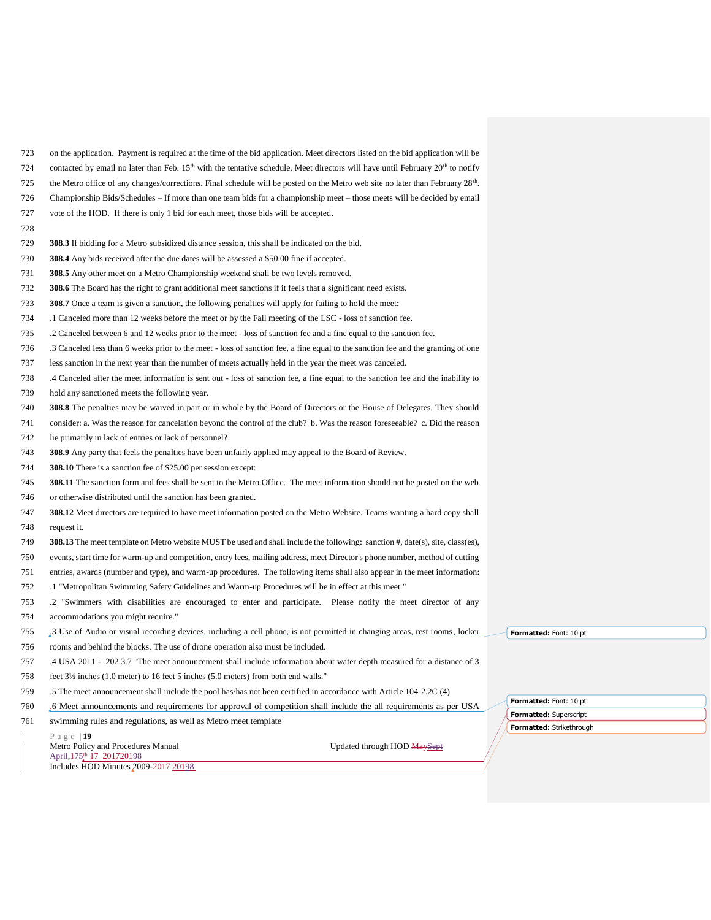on the application. Payment is required at the time of the bid application. Meet directors listed on the bid application will be

- contacted by email no later than Feb. 15<sup>th</sup> with the tentative schedule. Meet directors will have until February  $20<sup>th</sup>$  to notify
- 725 the Metro office of any changes/corrections. Final schedule will be posted on the Metro web site no later than February  $28<sup>th</sup>$ .
- Championship Bids/Schedules If more than one team bids for a championship meet those meets will be decided by email
- vote of the HOD. If there is only 1 bid for each meet, those bids will be accepted.
- 
- **308.3** If bidding for a Metro subsidized distance session, this shall be indicated on the bid.
- **308.4** Any bids received after the due dates will be assessed a \$50.00 fine if accepted.
- **308.5** Any other meet on a Metro Championship weekend shall be two levels removed.
- **308.6** The Board has the right to grant additional meet sanctions if it feels that a significant need exists.
- **308.7** Once a team is given a sanction, the following penalties will apply for failing to hold the meet:
- .1 Canceled more than 12 weeks before the meet or by the Fall meeting of the LSC loss of sanction fee.
- .2 Canceled between 6 and 12 weeks prior to the meet loss of sanction fee and a fine equal to the sanction fee.
- .3 Canceled less than 6 weeks prior to the meet loss of sanction fee, a fine equal to the sanction fee and the granting of one
- less sanction in the next year than the number of meets actually held in the year the meet was canceled.
- .4 Canceled after the meet information is sent out loss of sanction fee, a fine equal to the sanction fee and the inability to hold any sanctioned meets the following year.
- **308.8** The penalties may be waived in part or in whole by the Board of Directors or the House of Delegates. They should
- consider: a. Was the reason for cancelation beyond the control of the club? b. Was the reason foreseeable? c. Did the reason
- lie primarily in lack of entries or lack of personnel?
- **308.9** Any party that feels the penalties have been unfairly applied may appeal to the Board of Review.
- **308.10** There is a sanction fee of \$25.00 per session except:

# **308.11** The sanction form and fees shall be sent to the Metro Office. The meet information should not be posted on the web

- or otherwise distributed until the sanction has been granted.
- **308.12** Meet directors are required to have meet information posted on the Metro Website. Teams wanting a hard copy shall request it.
- **308.13** The meet template on Metro website MUST be used and shall include the following: sanction #, date(s), site, class(es),
- events, start time for warm-up and competition, entry fees, mailing address, meet Director's phone number, method of cutting
- entries, awards (number and type), and warm-up procedures. The following items shall also appear in the meet information:
- .1 "Metropolitan Swimming Safety Guidelines and Warm-up Procedures will be in effect at this meet."
- .2 "Swimmers with disabilities are encouraged to enter and participate. Please notify the meet director of any accommodations you might require."
- .3 Use of Audio or visual recording devices, including a cell phone, is not permitted in changing areas, rest rooms, locker
- rooms and behind the blocks. The use of drone operation also must be included.
- .4 USA 2011 202.3.7 "The meet announcement shall include information about water depth measured for a distance of 3
- feet 3½ inches (1.0 meter) to 16 feet 5 inches (5.0 meters) from both end walls."
- .5 The meet announcement shall include the pool has/has not been certified in accordance with Article 104.2.2C (4)
- .6 Meet announcements and requirements for approval of competition shall include the all requirements as per USA
- swimming rules and regulations, as well as Metro meet template

P a g e | **19** Metro Policy and Procedures Manual Updated through HOD MaySept April, 175<sup>th</sup> 17 2017 2019 8 Includes HOD Minutes 2009-2017 20198

**Formatted:** Font: 10 pt

**Formatted:** Superscript **Formatted:** Strikethrough **Formatted:** Font: 10 pt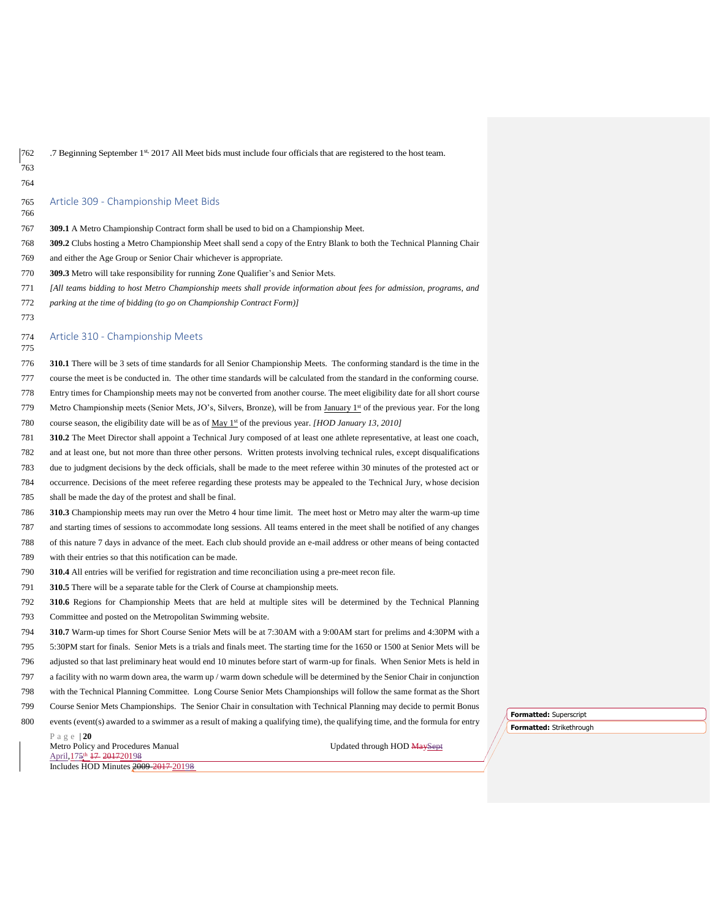762 7 Beginning September 1<sup>st,</sup> 2017 All Meet bids must include four officials that are registered to the host team. 

# <span id="page-19-0"></span>Article 309 - Championship Meet Bids

- 
- **309.1** A Metro Championship Contract form shall be used to bid on a Championship Meet.
- **309.2** Clubs hosting a Metro Championship Meet shall send a copy of the Entry Blank to both the Technical Planning Chair and either the Age Group or Senior Chair whichever is appropriate.
- **309.3** Metro will take responsibility for running Zone Qualifier's and Senior Mets.
- *[All teams bidding to host Metro Championship meets shall provide information about fees for admission, programs, and*
- *parking at the time of bidding (to go on Championship Contract Form)]*
- 
- <span id="page-19-1"></span>Article 310 - Championship Meets
- 

**310.1** There will be 3 sets of time standards for all Senior Championship Meets. The conforming standard is the time in the

 course the meet is be conducted in. The other time standards will be calculated from the standard in the conforming course. Entry times for Championship meets may not be converted from another course. The meet eligibility date for all short course

779 Metro Championship meets (Senior Mets, JO's, Silvers, Bronze), will be from January 1st of the previous year. For the long

780 course season, the eligibility date will be as of <u>May 1<sup>st</sup></u> of the previous year. *[HOD January 13, 2010]* 

**310.2** The Meet Director shall appoint a Technical Jury composed of at least one athlete representative, at least one coach,

and at least one, but not more than three other persons. Written protests involving technical rules, except disqualifications

 due to judgment decisions by the deck officials, shall be made to the meet referee within 30 minutes of the protested act or occurrence. Decisions of the meet referee regarding these protests may be appealed to the Technical Jury, whose decision

shall be made the day of the protest and shall be final.

**310.3** Championship meets may run over the Metro 4 hour time limit. The meet host or Metro may alter the warm-up time

 and starting times of sessions to accommodate long sessions. All teams entered in the meet shall be notified of any changes of this nature 7 days in advance of the meet. Each club should provide an e-mail address or other means of being contacted

- with their entries so that this notification can be made.
- **310.4** All entries will be verified for registration and time reconciliation using a pre-meet recon file.
- **310.5** There will be a separate table for the Clerk of Course at championship meets.

**310.6** Regions for Championship Meets that are held at multiple sites will be determined by the Technical Planning

Committee and posted on the Metropolitan Swimming website.

 **310.7** Warm-up times for Short Course Senior Mets will be at 7:30AM with a 9:00AM start for prelims and 4:30PM with a 5:30PM start for finals. Senior Mets is a trials and finals meet. The starting time for the 1650 or 1500 at Senior Mets will be adjusted so that last preliminary heat would end 10 minutes before start of warm-up for finals. When Senior Mets is held in a facility with no warm down area, the warm up / warm down schedule will be determined by the Senior Chair in conjunction

- with the Technical Planning Committee. Long Course Senior Mets Championships will follow the same format as the Short
- Course Senior Mets Championships. The Senior Chair in consultation with Technical Planning may decide to permit Bonus

events (event(s) awarded to a swimmer as a result of making a qualifying time), the qualifying time, and the formula for entry

P a g e | **20** Metro Policy and Procedures Manual Metro Policy and Procedures Manual Updated through HOD MaySept April, 175<sup>th</sup> 17 2017 2019 8 Includes HOD Minutes 2009-2017 20198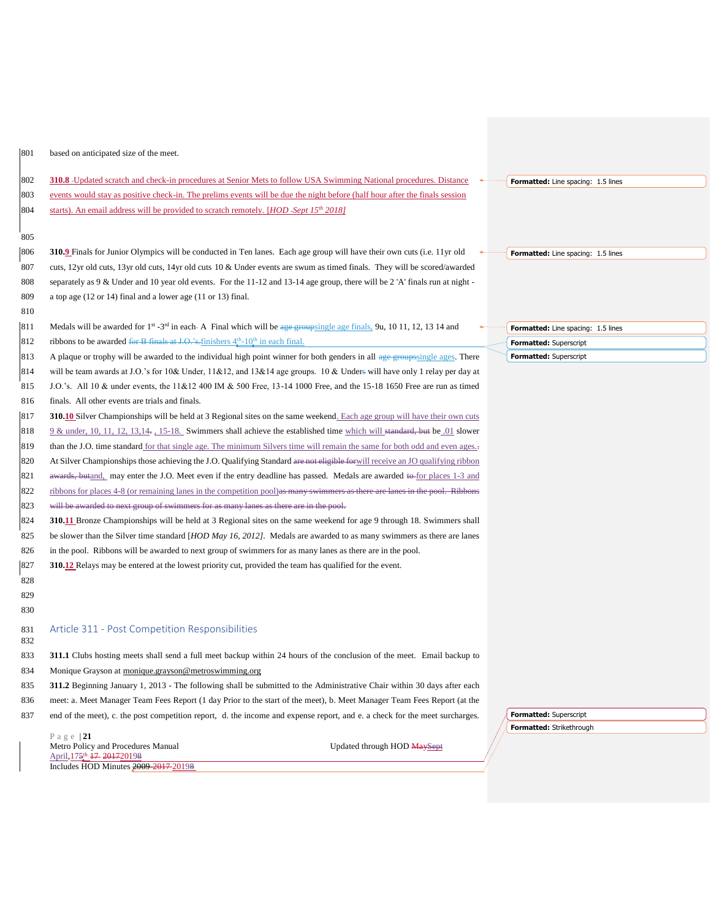<span id="page-20-0"></span>

| 801        | based on anticipated size of the meet.                                                                                                  |                                    |
|------------|-----------------------------------------------------------------------------------------------------------------------------------------|------------------------------------|
| 802        | <b>310.8</b> -Updated scratch and check-in procedures at Senior Mets to follow USA Swimming National procedures. Distance               | Formatted: Line spacing: 1.5 lines |
| 803        | events would stay as positive check-in. The prelims events will be due the night before (half hour after the finals session             |                                    |
| 804        | starts). An email address will be provided to scratch remotely. [ $HOD$ -Sept 15 <sup>th</sup> 2018]                                    |                                    |
| 805        |                                                                                                                                         |                                    |
| 806        | <b>310.9</b> Finals for Junior Olympics will be conducted in Ten lanes. Each age group will have their own cuts (i.e. 11yr old          | Formatted: Line spacing: 1.5 lines |
| 807        | cuts, 12yr old cuts, 13yr old cuts, 14yr old cuts 10 & Under events are swum as timed finals. They will be scored/awarded               |                                    |
| 808        | separately as $9 \&$ Under and 10 year old events. For the 11-12 and 13-14 age group, there will be 2 'A' finals run at night -         |                                    |
| 809        | a top age $(12 \text{ or } 14)$ final and a lower age $(11 \text{ or } 13)$ final.                                                      |                                    |
| 810        |                                                                                                                                         |                                    |
| 811        | Medals will be awarded for $1^{st}$ -3 <sup>rd</sup> in each-A Final which will be age groupsingle age finals, 9u, 10 11, 12, 13 14 and | Formatted: Line spacing: 1.5 lines |
| 812        | ribbons to be awarded for B finals at J.O.'s finishers $4^{\text{th}}$ -10 <sup>th</sup> in each final.                                 | Formatted: Superscript             |
| 813        | A plaque or trophy will be awarded to the individual high point winner for both genders in all age groupssingle ages. There             | Formatted: Superscript             |
| 814        | will be team awards at J.O.'s for 10& Under, $11&12$ , and $13&14$ age groups. 10 & Unders will have only 1 relay per day at            |                                    |
| 815        | J.O.'s. All 10 & under events, the $11\&12\&100$ IM & 500 Free, 13-14 1000 Free, and the 15-18 1650 Free are run as timed               |                                    |
| 816        | finals. All other events are trials and finals.                                                                                         |                                    |
| 817        | <b>310.10</b> Silver Championships will be held at 3 Regional sites on the same weekend. Each age group will have their own cuts        |                                    |
| 818        | $9 \&$ under, 10, 11, 12, 13, 14, 15-18. Swimmers shall achieve the established time which will standard, but be 0.01 slower            |                                    |
| 819        | than the J.O. time standard for that single age. The minimum Silvers time will remain the same for both odd and even ages.              |                                    |
| 820        | At Silver Championships those achieving the J.O. Qualifying Standard are not eligible for will receive an JO qualifying ribbon          |                                    |
| 821        | awards, butand, may enter the J.O. Meet even if the entry deadline has passed. Medals are awarded to-for places 1-3 and                 |                                    |
| 822        | ribbons for places 4-8 (or remaining lanes in the competition pool) as many swimmers as there are lanes in the pool. Ribbons            |                                    |
| 823        | will be awarded to next group of swimmers for as many lanes as there are in the pool.                                                   |                                    |
| 824        | <b>310.11</b> Bronze Championships will be held at 3 Regional sites on the same weekend for age 9 through 18. Swimmers shall            |                                    |
| 825        | be slower than the Silver time standard [HOD May 16, 2012]. Medals are awarded to as many swimmers as there are lanes                   |                                    |
| 826        | in the pool. Ribbons will be awarded to next group of swimmers for as many lanes as there are in the pool.                              |                                    |
| 827        | 310.12 Relays may be entered at the lowest priority cut, provided the team has qualified for the event.                                 |                                    |
| 828        |                                                                                                                                         |                                    |
| 829        |                                                                                                                                         |                                    |
| 830        |                                                                                                                                         |                                    |
| 831<br>832 | Article 311 - Post Competition Responsibilities                                                                                         |                                    |
| 833        | <b>311.1</b> Clubs hosting meets shall send a full meet backup within 24 hours of the conclusion of the meet. Email backup to           |                                    |
| 834        | Monique Grayson at monique.grayson@metroswimming.org                                                                                    |                                    |
| 835        | 311.2 Beginning January 1, 2013 - The following shall be submitted to the Administrative Chair within 30 days after each                |                                    |
| 836        | meet: a. Meet Manager Team Fees Report (1 day Prior to the start of the meet), b. Meet Manager Team Fees Report (at the                 |                                    |
| 837        | end of the meet), c. the post competition report, d. the income and expense report, and e. a check for the meet surcharges.             | Formatted: Superscript             |
|            |                                                                                                                                         | Formatted: Strikethrough           |
|            | Page $ 21$<br>Metro Policy and Procedures Manual<br>Updated through HOD MaySept<br>April, 175 <sup>th</sup> 17 201720198                |                                    |
|            | Includes HOD Minutes 2009-2017-20198                                                                                                    |                                    |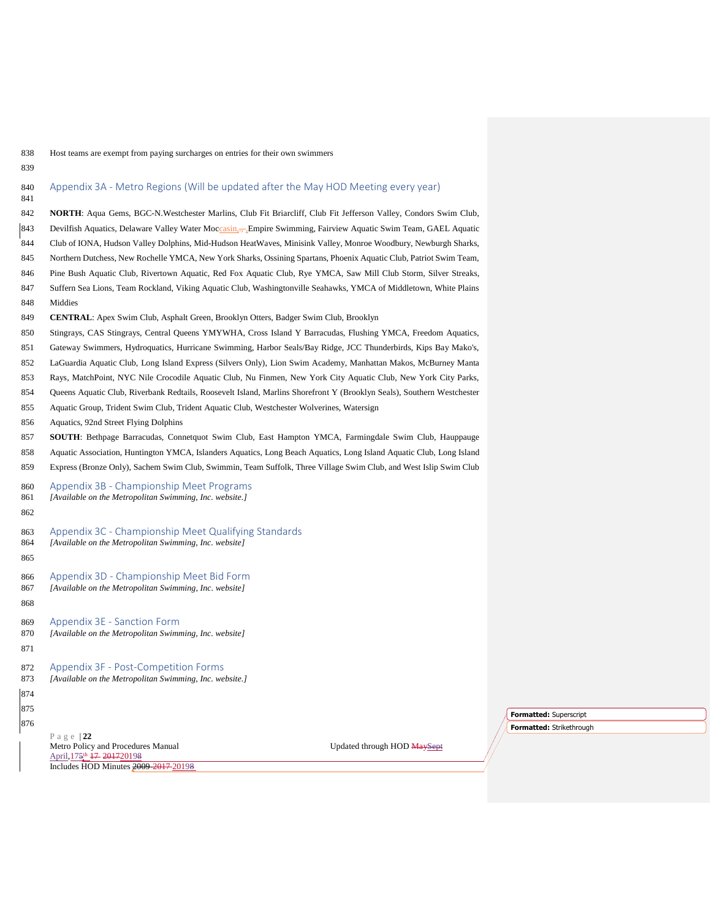<span id="page-21-4"></span><span id="page-21-3"></span><span id="page-21-2"></span><span id="page-21-1"></span><span id="page-21-0"></span>

| 838<br>839 | Host teams are exempt from paying surcharges on entries for their own swimmers                                             |                             |  |
|------------|----------------------------------------------------------------------------------------------------------------------------|-----------------------------|--|
| 840<br>841 | Appendix 3A - Metro Regions (Will be updated after the May HOD Meeting every year)                                         |                             |  |
| 842        | NORTH: Aqua Gems, BGC-N.Westchester Marlins, Club Fit Briarcliff, Club Fit Jefferson Valley, Condors Swim Club,            |                             |  |
| 843        | Devilfish Aquatics, Delaware Valley Water Moccasin <sub>57</sub> Empire Swimming, Fairview Aquatic Swim Team, GAEL Aquatic |                             |  |
| 844        | Club of IONA, Hudson Valley Dolphins, Mid-Hudson HeatWaves, Minisink Valley, Monroe Woodbury, Newburgh Sharks,             |                             |  |
| 845        | Northern Dutchess, New Rochelle YMCA, New York Sharks, Ossining Spartans, Phoenix Aquatic Club, Patriot Swim Team,         |                             |  |
| 846        | Pine Bush Aquatic Club, Rivertown Aquatic, Red Fox Aquatic Club, Rye YMCA, Saw Mill Club Storm, Silver Streaks,            |                             |  |
| 847        | Suffern Sea Lions, Team Rockland, Viking Aquatic Club, Washingtonville Seahawks, YMCA of Middletown, White Plains          |                             |  |
| 848        | Middies                                                                                                                    |                             |  |
| 849        | <b>CENTRAL:</b> Apex Swim Club, Asphalt Green, Brooklyn Otters, Badger Swim Club, Brooklyn                                 |                             |  |
| 850        | Stingrays, CAS Stingrays, Central Queens YMYWHA, Cross Island Y Barracudas, Flushing YMCA, Freedom Aquatics,               |                             |  |
| 851        | Gateway Swimmers, Hydroquatics, Hurricane Swimming, Harbor Seals/Bay Ridge, JCC Thunderbirds, Kips Bay Mako's,             |                             |  |
| 852        | LaGuardia Aquatic Club, Long Island Express (Silvers Only), Lion Swim Academy, Manhattan Makos, McBurney Manta             |                             |  |
| 853        | Rays, MatchPoint, NYC Nile Crocodile Aquatic Club, Nu Finmen, New York City Aquatic Club, New York City Parks,             |                             |  |
| 854        | Queens Aquatic Club, Riverbank Redtails, Roosevelt Island, Marlins Shorefront Y (Brooklyn Seals), Southern Westchester     |                             |  |
| 855        | Aquatic Group, Trident Swim Club, Trident Aquatic Club, Westchester Wolverines, Watersign                                  |                             |  |
| 856        | Aquatics, 92nd Street Flying Dolphins                                                                                      |                             |  |
| 857        | <b>SOUTH:</b> Bethpage Barracudas, Connetquot Swim Club, East Hampton YMCA, Farmingdale Swim Club, Hauppauge               |                             |  |
| 858        | Aquatic Association, Huntington YMCA, Islanders Aquatics, Long Beach Aquatics, Long Island Aquatic Club, Long Island       |                             |  |
| 859        | Express (Bronze Only), Sachem Swim Club, Swimmin, Team Suffolk, Three Village Swim Club, and West Islip Swim Club          |                             |  |
|            |                                                                                                                            |                             |  |
| 860<br>861 | Appendix 3B - Championship Meet Programs<br>[Available on the Metropolitan Swimming, Inc. website.]                        |                             |  |
| 862        |                                                                                                                            |                             |  |
|            |                                                                                                                            |                             |  |
| 863<br>864 | Appendix 3C - Championship Meet Qualifying Standards<br>[Available on the Metropolitan Swimming, Inc. website]             |                             |  |
| 865        |                                                                                                                            |                             |  |
|            |                                                                                                                            |                             |  |
| 866<br>867 | Appendix 3D - Championship Meet Bid Form<br>[Available on the Metropolitan Swimming, Inc. website]                         |                             |  |
| 868        |                                                                                                                            |                             |  |
|            |                                                                                                                            |                             |  |
| 869<br>870 | Appendix 3E - Sanction Form<br>[Available on the Metropolitan Swimming, Inc. website]                                      |                             |  |
| 871        |                                                                                                                            |                             |  |
|            |                                                                                                                            |                             |  |
| 872<br>873 | Appendix 3F - Post-Competition Forms<br>[Available on the Metropolitan Swimming, Inc. website.]                            |                             |  |
| 874        |                                                                                                                            |                             |  |
| 875        |                                                                                                                            |                             |  |
| 876        |                                                                                                                            |                             |  |
|            | $P$ a g e   22                                                                                                             |                             |  |
|            | Metro Policy and Procedures Manual<br>April, 175 <sup>th</sup> 17-201720198                                                | Updated through HOD MaySept |  |

<span id="page-21-5"></span>**Formatted:** Superscript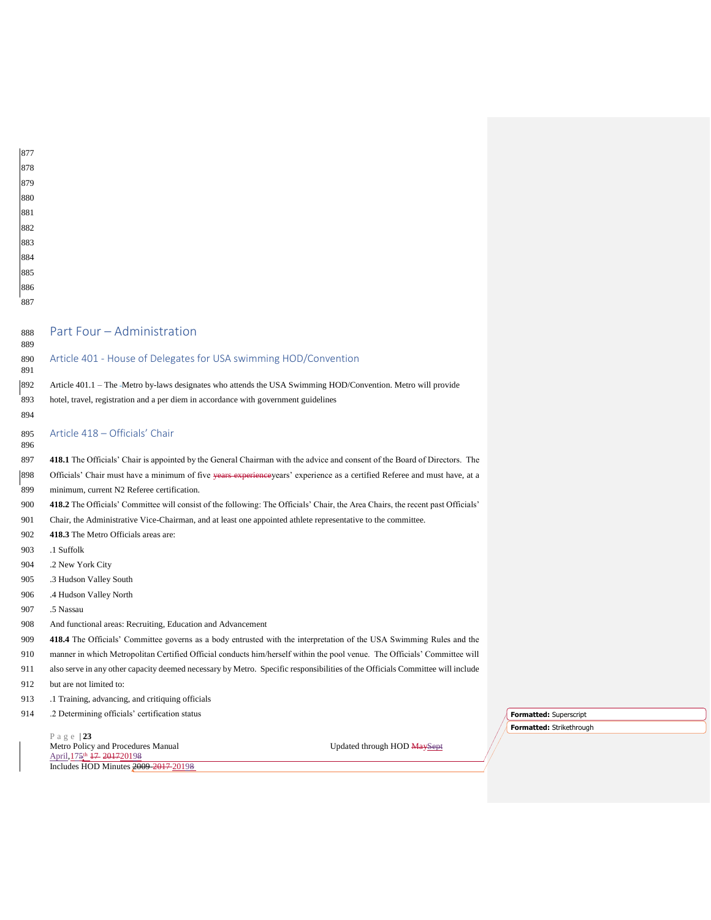<span id="page-22-2"></span><span id="page-22-1"></span><span id="page-22-0"></span>

| 877        |                                                                                                                                   |                          |  |
|------------|-----------------------------------------------------------------------------------------------------------------------------------|--------------------------|--|
| 878        |                                                                                                                                   |                          |  |
| 879        |                                                                                                                                   |                          |  |
| 880        |                                                                                                                                   |                          |  |
| 881        |                                                                                                                                   |                          |  |
| 882        |                                                                                                                                   |                          |  |
| 883        |                                                                                                                                   |                          |  |
| 884        |                                                                                                                                   |                          |  |
| 885        |                                                                                                                                   |                          |  |
| 886        |                                                                                                                                   |                          |  |
| 887        |                                                                                                                                   |                          |  |
|            |                                                                                                                                   |                          |  |
| 888        | Part Four - Administration                                                                                                        |                          |  |
| 889        |                                                                                                                                   |                          |  |
| 890<br>891 | Article 401 - House of Delegates for USA swimming HOD/Convention                                                                  |                          |  |
| 892        | Article 401.1 – The -Metro by-laws designates who attends the USA Swimming HOD/Convention. Metro will provide                     |                          |  |
| 893        | hotel, travel, registration and a per diem in accordance with government guidelines                                               |                          |  |
| 894        |                                                                                                                                   |                          |  |
| 895        | Article 418 - Officials' Chair                                                                                                    |                          |  |
| 896        |                                                                                                                                   |                          |  |
| 897        | <b>418.1</b> The Officials' Chair is appointed by the General Chairman with the advice and consent of the Board of Directors. The |                          |  |
| 898        | Officials' Chair must have a minimum of five years experience years' experience as a certified Referee and must have, at a        |                          |  |
| 899        | minimum, current N2 Referee certification.                                                                                        |                          |  |
| 900        | 418.2 The Officials' Committee will consist of the following: The Officials' Chair, the Area Chairs, the recent past Officials'   |                          |  |
| 901        | Chair, the Administrative Vice-Chairman, and at least one appointed athlete representative to the committee.                      |                          |  |
| 902        | 418.3 The Metro Officials areas are:                                                                                              |                          |  |
| 903        | .1 Suffolk                                                                                                                        |                          |  |
| 904        | .2 New York City                                                                                                                  |                          |  |
| 905        | .3 Hudson Valley South                                                                                                            |                          |  |
| 906        | .4 Hudson Valley North                                                                                                            |                          |  |
| 907        | .5 Nassau                                                                                                                         |                          |  |
| 908        | And functional areas: Recruiting, Education and Advancement                                                                       |                          |  |
| 909        | 418.4 The Officials' Committee governs as a body entrusted with the interpretation of the USA Swimming Rules and the              |                          |  |
| 910        | manner in which Metropolitan Certified Official conducts him/herself within the pool venue. The Officials' Committee will         |                          |  |
| 911        | also serve in any other capacity deemed necessary by Metro. Specific responsibilities of the Officials Committee will include     |                          |  |
| 912        | but are not limited to:                                                                                                           |                          |  |
| 913        | .1 Training, advancing, and critiquing officials                                                                                  |                          |  |
| 914        | .2 Determining officials' certification status                                                                                    | Formatted: Superscript   |  |
|            | $P$ a g e   23                                                                                                                    | Formatted: Strikethrough |  |
|            | Metro Policy and Procedures Manual<br>Updated through HOD MaySept<br>April, 175 <sup>th</sup> 47-201720198                        |                          |  |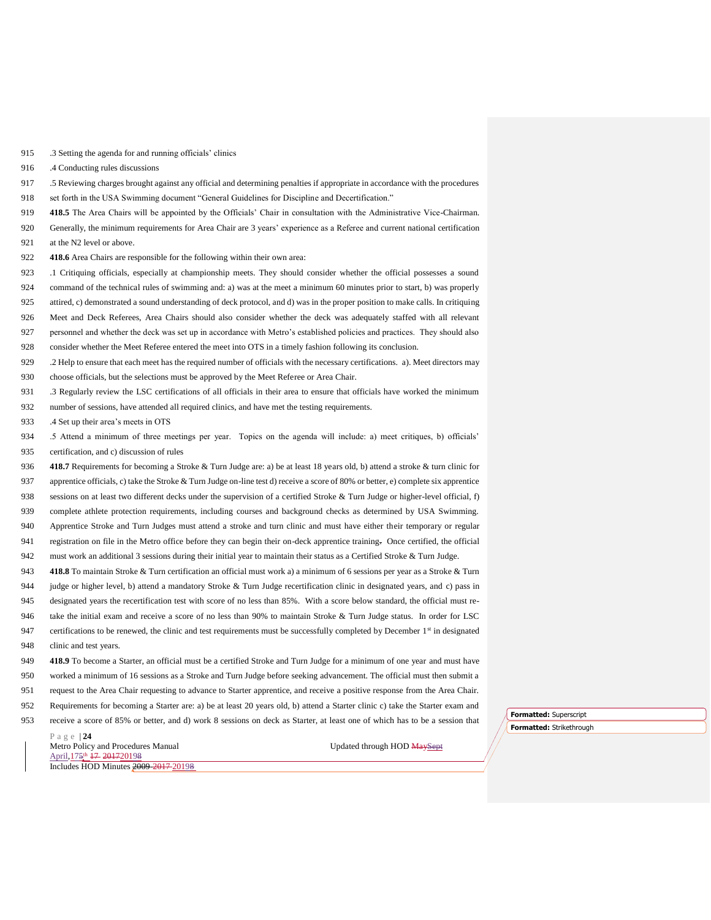.3 Setting the agenda for and running officials' clinics

.4 Conducting rules discussions

.5 Reviewing charges brought against any official and determining penalties if appropriate in accordance with the procedures

918 set forth in the USA Swimming document "General Guidelines for Discipline and Decertification."

**418.5** The Area Chairs will be appointed by the Officials' Chair in consultation with the Administrative Vice-Chairman.

 Generally, the minimum requirements for Area Chair are 3 years' experience as a Referee and current national certification at the N2 level or above.

**418.6** Area Chairs are responsible for the following within their own area:

.1 Critiquing officials, especially at championship meets. They should consider whether the official possesses a sound

 command of the technical rules of swimming and: a) was at the meet a minimum 60 minutes prior to start, b) was properly attired, c) demonstrated a sound understanding of deck protocol, and d) was in the proper position to make calls. In critiquing

 Meet and Deck Referees, Area Chairs should also consider whether the deck was adequately staffed with all relevant personnel and whether the deck was set up in accordance with Metro's established policies and practices. They should also

consider whether the Meet Referee entered the meet into OTS in a timely fashion following its conclusion.

929 .2 Help to ensure that each meet has the required number of officials with the necessary certifications. a). Meet directors may choose officials, but the selections must be approved by the Meet Referee or Area Chair.

 .3 Regularly review the LSC certifications of all officials in their area to ensure that officials have worked the minimum number of sessions, have attended all required clinics, and have met the testing requirements.

.4 Set up their area's meets in OTS

 .5 Attend a minimum of three meetings per year. Topics on the agenda will include: a) meet critiques, b) officials' certification, and c) discussion of rules

 **418.7** Requirements for becoming a Stroke & Turn Judge are: a) be at least 18 years old, b) attend a stroke & turn clinic for apprentice officials, c) take the Stroke & Turn Judge on-line test d) receive a score of 80% or better, e) complete six apprentice sessions on at least two different decks under the supervision of a certified Stroke & Turn Judge or higher-level official, f) complete athlete protection requirements, including courses and background checks as determined by USA Swimming. Apprentice Stroke and Turn Judges must attend a stroke and turn clinic and must have either their temporary or regular registration on file in the Metro office before they can begin their on-deck apprentice training. Once certified, the official

must work an additional 3 sessions during their initial year to maintain their status as a Certified Stroke & Turn Judge.

 **418.8** To maintain Stroke & Turn certification an official must work a) a minimum of 6 sessions per year as a Stroke & Turn judge or higher level, b) attend a mandatory Stroke & Turn Judge recertification clinic in designated years, and c) pass in designated years the recertification test with score of no less than 85%. With a score below standard, the official must re- take the initial exam and receive a score of no less than 90% to maintain Stroke & Turn Judge status. In order for LSC 947 certifications to be renewed, the clinic and test requirements must be successfully completed by December  $1<sup>st</sup>$  in designated

clinic and test years.

 **418.9** To become a Starter, an official must be a certified Stroke and Turn Judge for a minimum of one year and must have worked a minimum of 16 sessions as a Stroke and Turn Judge before seeking advancement. The official must then submit a request to the Area Chair requesting to advance to Starter apprentice, and receive a positive response from the Area Chair. Requirements for becoming a Starter are: a) be at least 20 years old, b) attend a Starter clinic c) take the Starter exam and receive a score of 85% or better, and d) work 8 sessions on deck as Starter, at least one of which has to be a session that

P a g e | **24** Metro Policy and Procedures Manual Updated through HOD MaySept April, 175<sup>th</sup> 17 2017 2019 8 Includes HOD Minutes 2009-2017 20198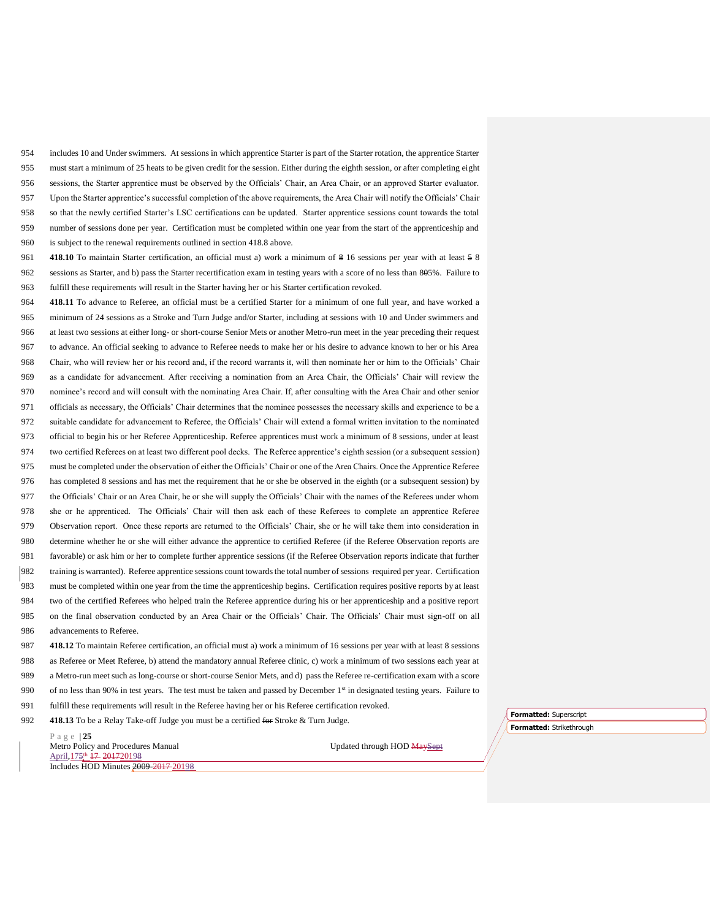includes 10 and Under swimmers. At sessions in which apprentice Starter is part of the Starter rotation, the apprentice Starter must start a minimum of 25 heats to be given credit for the session. Either during the eighth session, or after completing eight sessions, the Starter apprentice must be observed by the Officials' Chair, an Area Chair, or an approved Starter evaluator. Upon the Starter apprentice's successful completion of the above requirements, the Area Chair will notify the Officials' Chair so that the newly certified Starter's LSC certifications can be updated. Starter apprentice sessions count towards the total number of sessions done per year. Certification must be completed within one year from the start of the apprenticeship and is subject to the renewal requirements outlined in section 418.8 above.

 **418.10** To maintain Starter certification, an official must a) work a minimum of 8 16 sessions per year with at least 5 8 sessions as Starter, and b) pass the Starter recertification exam in testing years with a score of no less than 805%. Failure to fulfill these requirements will result in the Starter having her or his Starter certification revoked.

 **418.11** To advance to Referee, an official must be a certified Starter for a minimum of one full year, and have worked a minimum of 24 sessions as a Stroke and Turn Judge and/or Starter, including at sessions with 10 and Under swimmers and at least two sessions at either long- or short-course Senior Mets or another Metro-run meet in the year preceding their request to advance. An official seeking to advance to Referee needs to make her or his desire to advance known to her or his Area Chair, who will review her or his record and, if the record warrants it, will then nominate her or him to the Officials' Chair as a candidate for advancement. After receiving a nomination from an Area Chair, the Officials' Chair will review the nominee's record and will consult with the nominating Area Chair. If, after consulting with the Area Chair and other senior officials as necessary, the Officials' Chair determines that the nominee possesses the necessary skills and experience to be a suitable candidate for advancement to Referee, the Officials' Chair will extend a formal written invitation to the nominated official to begin his or her Referee Apprenticeship. Referee apprentices must work a minimum of 8 sessions, under at least two certified Referees on at least two different pool decks. The Referee apprentice's eighth session (or a subsequent session) must be completed under the observation of either the Officials' Chair or one of the Area Chairs. Once the Apprentice Referee has completed 8 sessions and has met the requirement that he or she be observed in the eighth (or a subsequent session) by the Officials' Chair or an Area Chair, he or she will supply the Officials' Chair with the names of the Referees under whom she or he apprenticed. The Officials' Chair will then ask each of these Referees to complete an apprentice Referee Observation report. Once these reports are returned to the Officials' Chair, she or he will take them into consideration in determine whether he or she will either advance the apprentice to certified Referee (if the Referee Observation reports are favorable) or ask him or her to complete further apprentice sessions (if the Referee Observation reports indicate that further training is warranted). Referee apprentice sessions count towards the total number of sessions required per year. Certification must be completed within one year from the time the apprenticeship begins. Certification requires positive reports by at least two of the certified Referees who helped train the Referee apprentice during his or her apprenticeship and a positive report on the final observation conducted by an Area Chair or the Officials' Chair. The Officials' Chair must sign-off on all advancements to Referee.

 **418.12** To maintain Referee certification, an official must a) work a minimum of 16 sessions per year with at least 8 sessions as Referee or Meet Referee, b) attend the mandatory annual Referee clinic, c) work a minimum of two sessions each year at a Metro-run meet such as long-course or short-course Senior Mets, and d) pass the Referee re-certification exam with a score 990 of no less than 90% in test years. The test must be taken and passed by December  $1<sup>st</sup>$  in designated testing years. Failure to fulfill these requirements will result in the Referee having her or his Referee certification revoked.

**418.13** To be a Relay Take-off Judge you must be a certified for Stroke & Turn Judge.

P a g e | **25** Metro Policy and Procedures Manual Updated through HOD MaySept April, 175<sup>th</sup> 17 2017 2019 8 Includes HOD Minutes 2009-2017 20198

**Formatted:** Superscript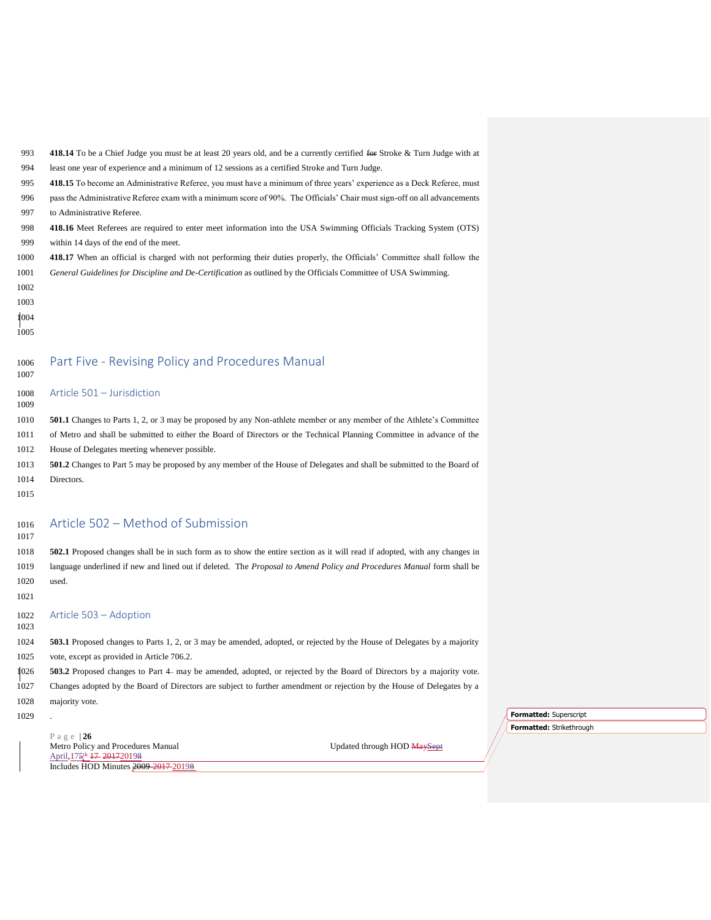<span id="page-25-1"></span><span id="page-25-0"></span>

| 993          | 418.14 To be a Chief Judge you must be at least 20 years old, and be a currently certified for Stroke & Turn Judge with at                                                                                                                            |    |
|--------------|-------------------------------------------------------------------------------------------------------------------------------------------------------------------------------------------------------------------------------------------------------|----|
| 994          | least one year of experience and a minimum of 12 sessions as a certified Stroke and Turn Judge.                                                                                                                                                       |    |
| 995          | 418.15 To become an Administrative Referee, you must have a minimum of three years' experience as a Deck Referee, must                                                                                                                                |    |
| 996          | pass the Administrative Referee exam with a minimum score of 90%. The Officials' Chair must sign-off on all advancements                                                                                                                              |    |
| 997          | to Administrative Referee.                                                                                                                                                                                                                            |    |
| 998          | 418.16 Meet Referees are required to enter meet information into the USA Swimming Officials Tracking System (OTS)                                                                                                                                     |    |
| 999          | within 14 days of the end of the meet.                                                                                                                                                                                                                |    |
| 1000         | 418.17 When an official is charged with not performing their duties properly, the Officials' Committee shall follow the                                                                                                                               |    |
| 1001         | General Guidelines for Discipline and De-Certification as outlined by the Officials Committee of USA Swimming.                                                                                                                                        |    |
| 1002         |                                                                                                                                                                                                                                                       |    |
| 1003         |                                                                                                                                                                                                                                                       |    |
| 1004         |                                                                                                                                                                                                                                                       |    |
| 1005         |                                                                                                                                                                                                                                                       |    |
|              |                                                                                                                                                                                                                                                       |    |
| 1006         | Part Five - Revising Policy and Procedures Manual                                                                                                                                                                                                     |    |
| 1007         |                                                                                                                                                                                                                                                       |    |
| 1008         | Article 501 - Jurisdiction                                                                                                                                                                                                                            |    |
| 1009         |                                                                                                                                                                                                                                                       |    |
| 1010<br>1011 | <b>501.1</b> Changes to Parts 1, 2, or 3 may be proposed by any Non-athlete member or any member of the Athlete's Committee<br>of Metro and shall be submitted to either the Board of Directors or the Technical Planning Committee in advance of the |    |
| 1012         | House of Delegates meeting whenever possible.                                                                                                                                                                                                         |    |
| 1013         | 501.2 Changes to Part 5 may be proposed by any member of the House of Delegates and shall be submitted to the Board of                                                                                                                                |    |
| 1014         | Directors.                                                                                                                                                                                                                                            |    |
| 1015         |                                                                                                                                                                                                                                                       |    |
|              |                                                                                                                                                                                                                                                       |    |
| 1016         | Article 502 - Method of Submission                                                                                                                                                                                                                    |    |
| 1017         |                                                                                                                                                                                                                                                       |    |
| 1018         | <b>502.1</b> Proposed changes shall be in such form as to show the entire section as it will read if adopted, with any changes in                                                                                                                     |    |
| 1019         | language underlined if new and lined out if deleted. The Proposal to Amend Policy and Procedures Manual form shall be                                                                                                                                 |    |
| 1020         | used.                                                                                                                                                                                                                                                 |    |
| 1021         |                                                                                                                                                                                                                                                       |    |
| 1022         | Article 503 – Adoption                                                                                                                                                                                                                                |    |
| 1023         |                                                                                                                                                                                                                                                       |    |
| 1024<br>1025 | <b>503.1</b> Proposed changes to Parts 1, 2, or 3 may be amended, adopted, or rejected by the House of Delegates by a majority<br>vote, except as provided in Article 706.2.                                                                          |    |
| 1026         | 503.2 Proposed changes to Part 4– may be amended, adopted, or rejected by the Board of Directors by a majority vote.                                                                                                                                  |    |
| 1027         | Changes adopted by the Board of Directors are subject to further amendment or rejection by the House of Delegates by a                                                                                                                                |    |
| 1028         | majority vote.                                                                                                                                                                                                                                        |    |
| 1029         |                                                                                                                                                                                                                                                       | F  |
|              |                                                                                                                                                                                                                                                       | E, |

<span id="page-25-3"></span><span id="page-25-2"></span>P a g e | **26** Metro Policy and Procedures Manual New York Control of the Updated through HOD MaySept April, 175<sup>th</sup> 17 2017 2019 8 Includes HOD Minutes <del>2009-2017</del>-20198

**Formatted:** Superscript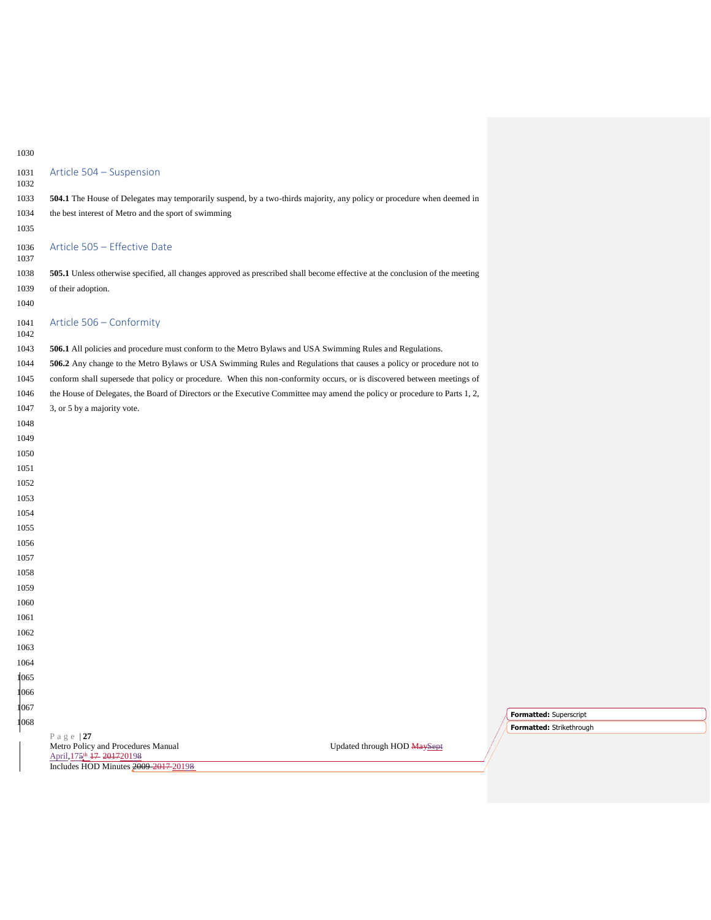<span id="page-26-2"></span><span id="page-26-1"></span><span id="page-26-0"></span>

| 10JU         |                                                                                               |                                                                                                                                     |  |                                                    |
|--------------|-----------------------------------------------------------------------------------------------|-------------------------------------------------------------------------------------------------------------------------------------|--|----------------------------------------------------|
| 1031<br>1032 | Article 504 – Suspension                                                                      |                                                                                                                                     |  |                                                    |
| 1033         |                                                                                               | 504.1 The House of Delegates may temporarily suspend, by a two-thirds majority, any policy or procedure when deemed in              |  |                                                    |
| 1034         | the best interest of Metro and the sport of swimming                                          |                                                                                                                                     |  |                                                    |
| 1035         |                                                                                               |                                                                                                                                     |  |                                                    |
| 1036         | Article 505 - Effective Date                                                                  |                                                                                                                                     |  |                                                    |
| 1037         |                                                                                               |                                                                                                                                     |  |                                                    |
| 1038         |                                                                                               | <b>505.1</b> Unless otherwise specified, all changes approved as prescribed shall become effective at the conclusion of the meeting |  |                                                    |
| 1039         | of their adoption.                                                                            |                                                                                                                                     |  |                                                    |
| 1040         |                                                                                               |                                                                                                                                     |  |                                                    |
| 1041<br>1042 | Article 506 - Conformity                                                                      |                                                                                                                                     |  |                                                    |
| 1043         |                                                                                               | 506.1 All policies and procedure must conform to the Metro Bylaws and USA Swimming Rules and Regulations.                           |  |                                                    |
| 1044         |                                                                                               | 506.2 Any change to the Metro Bylaws or USA Swimming Rules and Regulations that causes a policy or procedure not to                 |  |                                                    |
| 1045         |                                                                                               | conform shall supersede that policy or procedure. When this non-conformity occurs, or is discovered between meetings of             |  |                                                    |
| 1046         |                                                                                               | the House of Delegates, the Board of Directors or the Executive Committee may amend the policy or procedure to Parts 1, 2,          |  |                                                    |
| 1047         | 3, or 5 by a majority vote.                                                                   |                                                                                                                                     |  |                                                    |
| 1048         |                                                                                               |                                                                                                                                     |  |                                                    |
| 1049         |                                                                                               |                                                                                                                                     |  |                                                    |
| 1050         |                                                                                               |                                                                                                                                     |  |                                                    |
| 1051         |                                                                                               |                                                                                                                                     |  |                                                    |
| 1052         |                                                                                               |                                                                                                                                     |  |                                                    |
| 1053         |                                                                                               |                                                                                                                                     |  |                                                    |
| 1054         |                                                                                               |                                                                                                                                     |  |                                                    |
| 1055         |                                                                                               |                                                                                                                                     |  |                                                    |
| 1056         |                                                                                               |                                                                                                                                     |  |                                                    |
| 1057         |                                                                                               |                                                                                                                                     |  |                                                    |
| 1058         |                                                                                               |                                                                                                                                     |  |                                                    |
| 1059         |                                                                                               |                                                                                                                                     |  |                                                    |
| 1060<br>1061 |                                                                                               |                                                                                                                                     |  |                                                    |
| 1062         |                                                                                               |                                                                                                                                     |  |                                                    |
| 1063         |                                                                                               |                                                                                                                                     |  |                                                    |
| 1064         |                                                                                               |                                                                                                                                     |  |                                                    |
| 1065         |                                                                                               |                                                                                                                                     |  |                                                    |
| 1066         |                                                                                               |                                                                                                                                     |  |                                                    |
| 1067         |                                                                                               |                                                                                                                                     |  |                                                    |
| 1068         |                                                                                               |                                                                                                                                     |  | Formatted: Superscript<br>Formatted: Strikethrough |
|              | $P$ a g e   27<br>Metro Policy and Procedures Manual<br>April, 175 <sup>th</sup> 17-201720198 | Updated through HOD MaySept                                                                                                         |  |                                                    |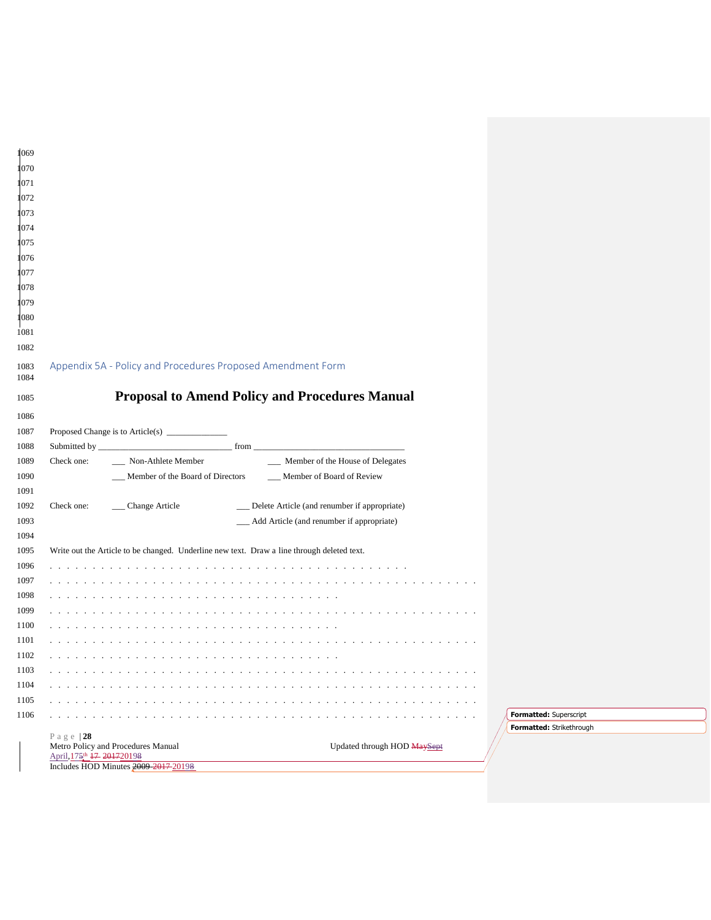<span id="page-27-0"></span>

| 1069         |                                                     |                                                                                            |                                                                                                                                                                               |  |                                                    |  |
|--------------|-----------------------------------------------------|--------------------------------------------------------------------------------------------|-------------------------------------------------------------------------------------------------------------------------------------------------------------------------------|--|----------------------------------------------------|--|
| 1070         |                                                     |                                                                                            |                                                                                                                                                                               |  |                                                    |  |
| 1071         |                                                     |                                                                                            |                                                                                                                                                                               |  |                                                    |  |
| 1072         |                                                     |                                                                                            |                                                                                                                                                                               |  |                                                    |  |
| 1073         |                                                     |                                                                                            |                                                                                                                                                                               |  |                                                    |  |
| 1074         |                                                     |                                                                                            |                                                                                                                                                                               |  |                                                    |  |
| 1075         |                                                     |                                                                                            |                                                                                                                                                                               |  |                                                    |  |
| 1076         |                                                     |                                                                                            |                                                                                                                                                                               |  |                                                    |  |
| 1077         |                                                     |                                                                                            |                                                                                                                                                                               |  |                                                    |  |
| 1078         |                                                     |                                                                                            |                                                                                                                                                                               |  |                                                    |  |
| 1079         |                                                     |                                                                                            |                                                                                                                                                                               |  |                                                    |  |
| 1080         |                                                     |                                                                                            |                                                                                                                                                                               |  |                                                    |  |
| 1081         |                                                     |                                                                                            |                                                                                                                                                                               |  |                                                    |  |
| 1082         |                                                     |                                                                                            |                                                                                                                                                                               |  |                                                    |  |
| 1083         |                                                     | Appendix 5A - Policy and Procedures Proposed Amendment Form                                |                                                                                                                                                                               |  |                                                    |  |
| 1084         |                                                     |                                                                                            |                                                                                                                                                                               |  |                                                    |  |
| 1085         |                                                     |                                                                                            | <b>Proposal to Amend Policy and Procedures Manual</b>                                                                                                                         |  |                                                    |  |
| 1086         |                                                     |                                                                                            |                                                                                                                                                                               |  |                                                    |  |
| 1087         |                                                     |                                                                                            |                                                                                                                                                                               |  |                                                    |  |
| 1088         |                                                     |                                                                                            | from                                                                                                                                                                          |  |                                                    |  |
| 1089         | Check one:                                          | Non-Athlete Member                                                                         | __ Member of the House of Delegates                                                                                                                                           |  |                                                    |  |
| 1090         |                                                     | __ Member of the Board of Directors                                                        | __ Member of Board of Review                                                                                                                                                  |  |                                                    |  |
| 1091         |                                                     |                                                                                            |                                                                                                                                                                               |  |                                                    |  |
| 1092         | Check one:                                          | __ Change Article                                                                          | _ Delete Article (and renumber if appropriate)                                                                                                                                |  |                                                    |  |
| 1093         |                                                     |                                                                                            | -Add Article (and renumber if appropriate)                                                                                                                                    |  |                                                    |  |
| 1094<br>1095 |                                                     | Write out the Article to be changed. Underline new text. Draw a line through deleted text. |                                                                                                                                                                               |  |                                                    |  |
| 1096         |                                                     |                                                                                            |                                                                                                                                                                               |  |                                                    |  |
| 1097         |                                                     |                                                                                            |                                                                                                                                                                               |  |                                                    |  |
| 1098         |                                                     |                                                                                            |                                                                                                                                                                               |  |                                                    |  |
| 1099         |                                                     |                                                                                            |                                                                                                                                                                               |  |                                                    |  |
| 1100         |                                                     |                                                                                            |                                                                                                                                                                               |  |                                                    |  |
| 1101         |                                                     |                                                                                            |                                                                                                                                                                               |  |                                                    |  |
| 1102         |                                                     |                                                                                            |                                                                                                                                                                               |  |                                                    |  |
| 1103         |                                                     |                                                                                            |                                                                                                                                                                               |  |                                                    |  |
| 1104         |                                                     |                                                                                            |                                                                                                                                                                               |  |                                                    |  |
| 1105         |                                                     |                                                                                            |                                                                                                                                                                               |  |                                                    |  |
| 1106         |                                                     |                                                                                            | $\frac{1}{2}$ . $\frac{1}{2}$ . $\frac{1}{2}$ . $\frac{1}{2}$ . $\frac{1}{2}$ . $\frac{1}{2}$ . $\frac{1}{2}$ . $\frac{1}{2}$ . $\frac{1}{2}$ . $\frac{1}{2}$ . $\frac{1}{2}$ |  | Formatted: Superscript<br>Formatted: Strikethrough |  |
|              | Page $ 28$<br>April, 175 <sup>th</sup> 17-201720198 | Metro Policy and Procedures Manual                                                         | Updated through HOD MaySept                                                                                                                                                   |  |                                                    |  |
|              |                                                     | Includes HOD Minutes 2009-2017 20198                                                       |                                                                                                                                                                               |  |                                                    |  |
|              |                                                     |                                                                                            |                                                                                                                                                                               |  |                                                    |  |